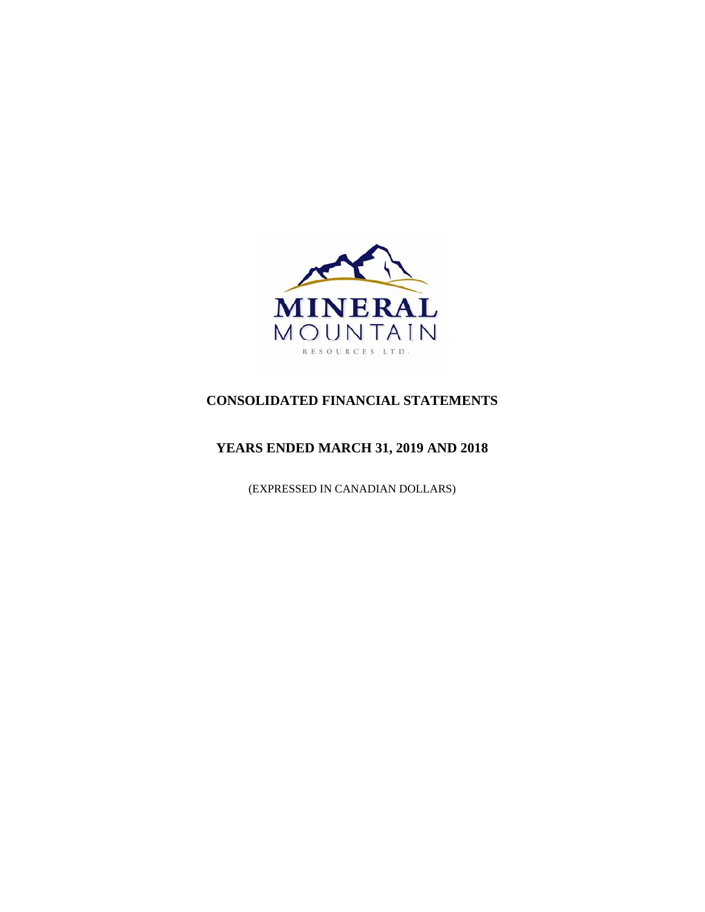

# **CONSOLIDATED FINANCIAL STATEMENTS**

# **YEARS ENDED MARCH 31, 2019 AND 2018**

(EXPRESSED IN CANADIAN DOLLARS)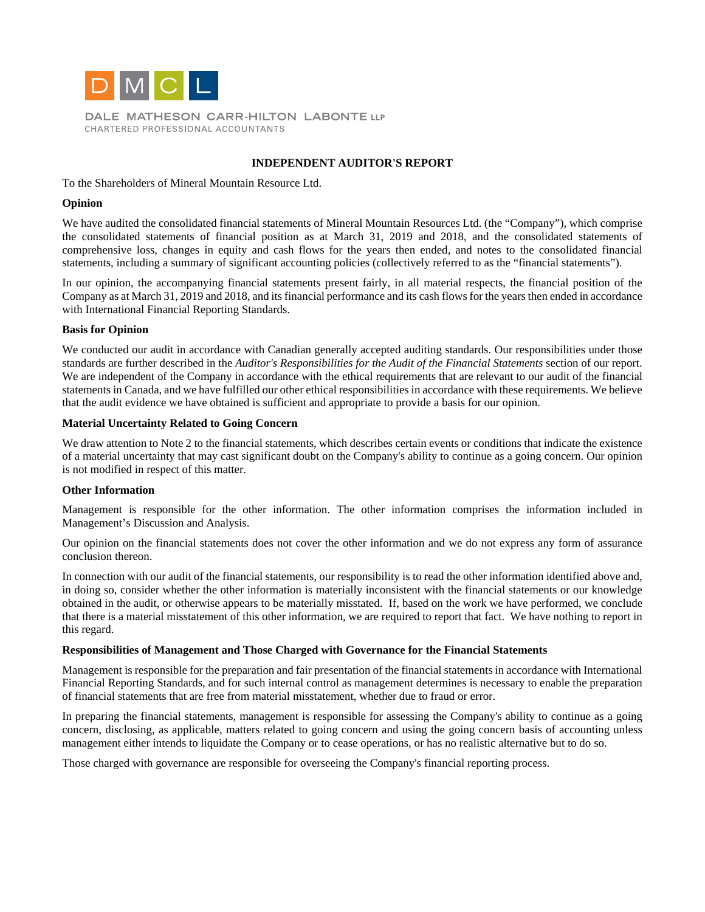

DALE MATHESON CARR-HILTON LABONTE LLP CHARTERED PROFESSIONAL ACCOUNTANTS

### **INDEPENDENT AUDITOR'S REPORT**

# To the Shareholders of Mineral Mountain Resource Ltd.

### **Opinion**

We have audited the consolidated financial statements of Mineral Mountain Resources Ltd. (the "Company"), which comprise the consolidated statements of financial position as at March 31, 2019 and 2018, and the consolidated statements of comprehensive loss, changes in equity and cash flows for the years then ended, and notes to the consolidated financial statements, including a summary of significant accounting policies (collectively referred to as the "financial statements").

In our opinion, the accompanying financial statements present fairly, in all material respects, the financial position of the Company as at March 31, 2019 and 2018, and its financial performance and its cash flows for the years then ended in accordance with International Financial Reporting Standards.

### **Basis for Opinion**

We conducted our audit in accordance with Canadian generally accepted auditing standards. Our responsibilities under those standards are further described in the *Auditor's Responsibilities for the Audit of the Financial Statements* section of our report. We are independent of the Company in accordance with the ethical requirements that are relevant to our audit of the financial statements in Canada, and we have fulfilled our other ethical responsibilities in accordance with these requirements. We believe that the audit evidence we have obtained is sufficient and appropriate to provide a basis for our opinion.

# **Material Uncertainty Related to Going Concern**

We draw attention to Note 2 to the financial statements, which describes certain events or conditions that indicate the existence of a material uncertainty that may cast significant doubt on the Company's ability to continue as a going concern. Our opinion is not modified in respect of this matter.

### **Other Information**

Management is responsible for the other information. The other information comprises the information included in Management's Discussion and Analysis.

Our opinion on the financial statements does not cover the other information and we do not express any form of assurance conclusion thereon.

In connection with our audit of the financial statements, our responsibility is to read the other information identified above and, in doing so, consider whether the other information is materially inconsistent with the financial statements or our knowledge obtained in the audit, or otherwise appears to be materially misstated. If, based on the work we have performed, we conclude that there is a material misstatement of this other information, we are required to report that fact. We have nothing to report in this regard.

### **Responsibilities of Management and Those Charged with Governance for the Financial Statements**

Management is responsible for the preparation and fair presentation of the financial statements in accordance with International Financial Reporting Standards, and for such internal control as management determines is necessary to enable the preparation of financial statements that are free from material misstatement, whether due to fraud or error.

In preparing the financial statements, management is responsible for assessing the Company's ability to continue as a going concern, disclosing, as applicable, matters related to going concern and using the going concern basis of accounting unless management either intends to liquidate the Company or to cease operations, or has no realistic alternative but to do so.

Those charged with governance are responsible for overseeing the Company's financial reporting process.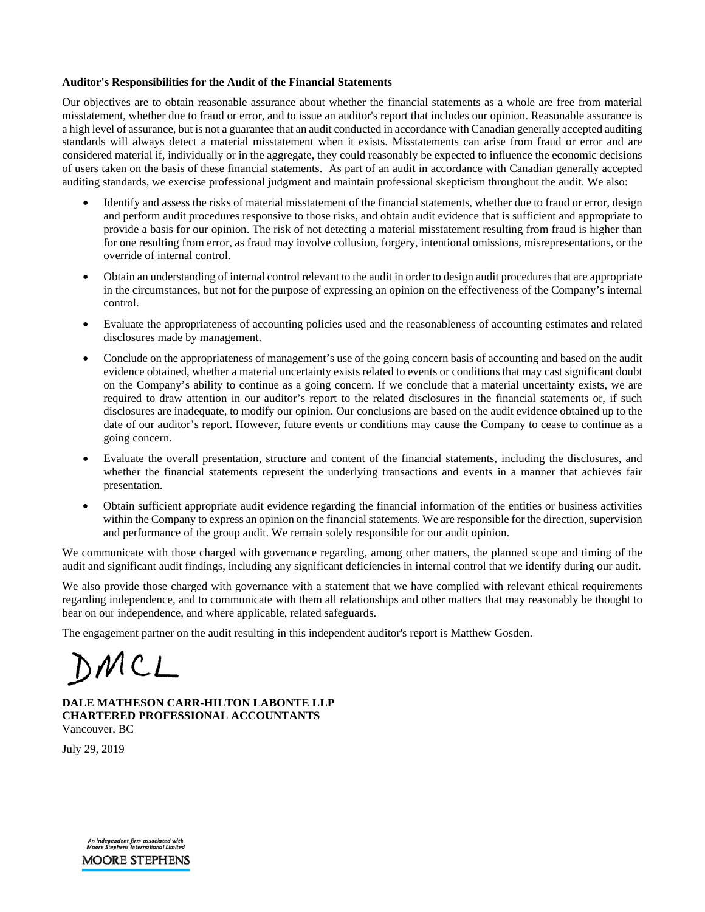# **Auditor's Responsibilities for the Audit of the Financial Statements**

Our objectives are to obtain reasonable assurance about whether the financial statements as a whole are free from material misstatement, whether due to fraud or error, and to issue an auditor's report that includes our opinion. Reasonable assurance is a high level of assurance, but is not a guarantee that an audit conducted in accordance with Canadian generally accepted auditing standards will always detect a material misstatement when it exists. Misstatements can arise from fraud or error and are considered material if, individually or in the aggregate, they could reasonably be expected to influence the economic decisions of users taken on the basis of these financial statements. As part of an audit in accordance with Canadian generally accepted auditing standards, we exercise professional judgment and maintain professional skepticism throughout the audit. We also:

- Identify and assess the risks of material misstatement of the financial statements, whether due to fraud or error, design and perform audit procedures responsive to those risks, and obtain audit evidence that is sufficient and appropriate to provide a basis for our opinion. The risk of not detecting a material misstatement resulting from fraud is higher than for one resulting from error, as fraud may involve collusion, forgery, intentional omissions, misrepresentations, or the override of internal control.
- Obtain an understanding of internal control relevant to the audit in order to design audit procedures that are appropriate in the circumstances, but not for the purpose of expressing an opinion on the effectiveness of the Company's internal control.
- Evaluate the appropriateness of accounting policies used and the reasonableness of accounting estimates and related disclosures made by management.
- Conclude on the appropriateness of management's use of the going concern basis of accounting and based on the audit evidence obtained, whether a material uncertainty exists related to events or conditions that may cast significant doubt on the Company's ability to continue as a going concern. If we conclude that a material uncertainty exists, we are required to draw attention in our auditor's report to the related disclosures in the financial statements or, if such disclosures are inadequate, to modify our opinion. Our conclusions are based on the audit evidence obtained up to the date of our auditor's report. However, future events or conditions may cause the Company to cease to continue as a going concern.
- Evaluate the overall presentation, structure and content of the financial statements, including the disclosures, and whether the financial statements represent the underlying transactions and events in a manner that achieves fair presentation.
- Obtain sufficient appropriate audit evidence regarding the financial information of the entities or business activities within the Company to express an opinion on the financial statements. We are responsible for the direction, supervision and performance of the group audit. We remain solely responsible for our audit opinion.

We communicate with those charged with governance regarding, among other matters, the planned scope and timing of the audit and significant audit findings, including any significant deficiencies in internal control that we identify during our audit.

We also provide those charged with governance with a statement that we have complied with relevant ethical requirements regarding independence, and to communicate with them all relationships and other matters that may reasonably be thought to bear on our independence, and where applicable, related safeguards.

The engagement partner on the audit resulting in this independent auditor's report is Matthew Gosden.

DMCL

**DALE MATHESON CARR-HILTON LABONTE LLP CHARTERED PROFESSIONAL ACCOUNTANTS**  Vancouver, BC

July 29, 2019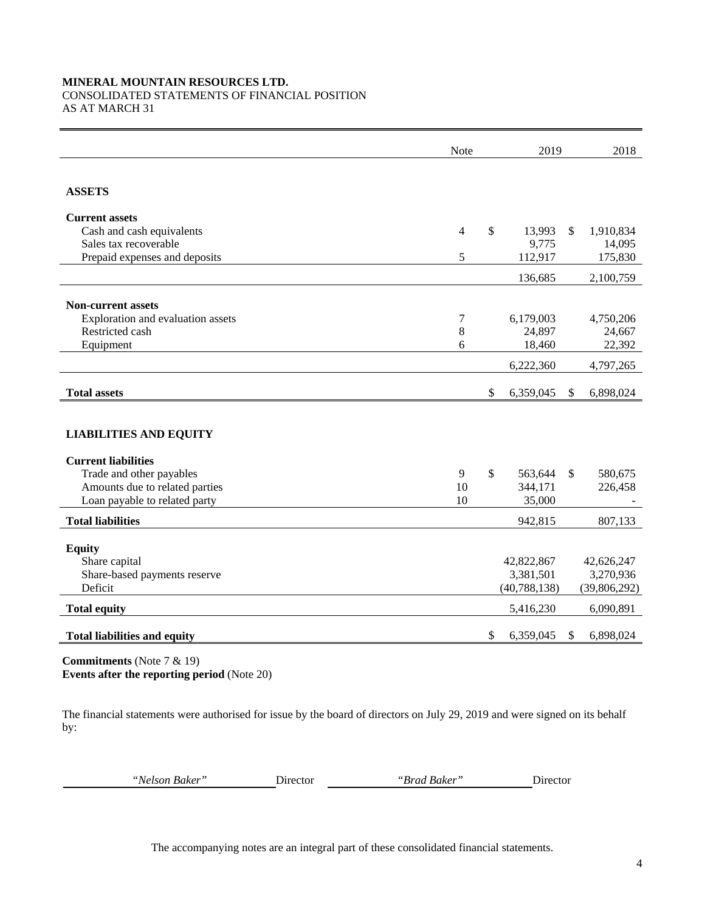# **MINERAL MOUNTAIN RESOURCES LTD.**

# CONSOLIDATED STATEMENTS OF FINANCIAL POSITION

AS AT MARCH 31

|                                                        | <b>Note</b>    |              | 2019             | 2018              |
|--------------------------------------------------------|----------------|--------------|------------------|-------------------|
|                                                        |                |              |                  |                   |
| <b>ASSETS</b>                                          |                |              |                  |                   |
| <b>Current assets</b>                                  |                |              |                  |                   |
| Cash and cash equivalents                              | $\overline{4}$ | $\mathbb{S}$ | 13,993           | \$<br>1,910,834   |
| Sales tax recoverable<br>Prepaid expenses and deposits | 5              |              | 9,775<br>112,917 | 14,095<br>175,830 |
|                                                        |                |              | 136,685          | 2,100,759         |
|                                                        |                |              |                  |                   |
| <b>Non-current assets</b>                              |                |              |                  |                   |
| Exploration and evaluation assets                      | 7              |              | 6,179,003        | 4,750,206         |
| Restricted cash<br>Equipment                           | 8<br>6         |              | 24,897<br>18,460 | 24,667<br>22,392  |
|                                                        |                |              |                  |                   |
|                                                        |                |              | 6,222,360        | 4,797,265         |
| <b>Total assets</b>                                    |                | \$           | 6,359,045        | \$<br>6,898,024   |
|                                                        |                |              |                  |                   |
| <b>LIABILITIES AND EQUITY</b>                          |                |              |                  |                   |
| <b>Current liabilities</b>                             |                |              |                  |                   |
| Trade and other payables                               | 9              | \$           | 563,644          | \$<br>580,675     |
| Amounts due to related parties                         | 10             |              | 344,171          | 226,458           |
| Loan payable to related party                          | 10             |              | 35,000           |                   |
| <b>Total liabilities</b>                               |                |              | 942,815          | 807,133           |
| <b>Equity</b>                                          |                |              |                  |                   |
| Share capital                                          |                |              | 42,822,867       | 42,626,247        |
| Share-based payments reserve                           |                |              | 3,381,501        | 3,270,936         |
| Deficit                                                |                |              | (40, 788, 138)   | (39, 806, 292)    |
| <b>Total equity</b>                                    |                |              | 5,416,230        | 6,090,891         |
| <b>Total liabilities and equity</b>                    |                | \$           | 6,359,045        | \$<br>6,898,024   |

**Commitments** (Note 7 & 19) **Events after the reporting period** (Note 20)

The financial statements were authorised for issue by the board of directors on July 29, 2019 and were signed on its behalf by:

|  | "Nelson Baker" | Director | "Brad Baker— | Director |
|--|----------------|----------|--------------|----------|
|--|----------------|----------|--------------|----------|

The accompanying notes are an integral part of these consolidated financial statements.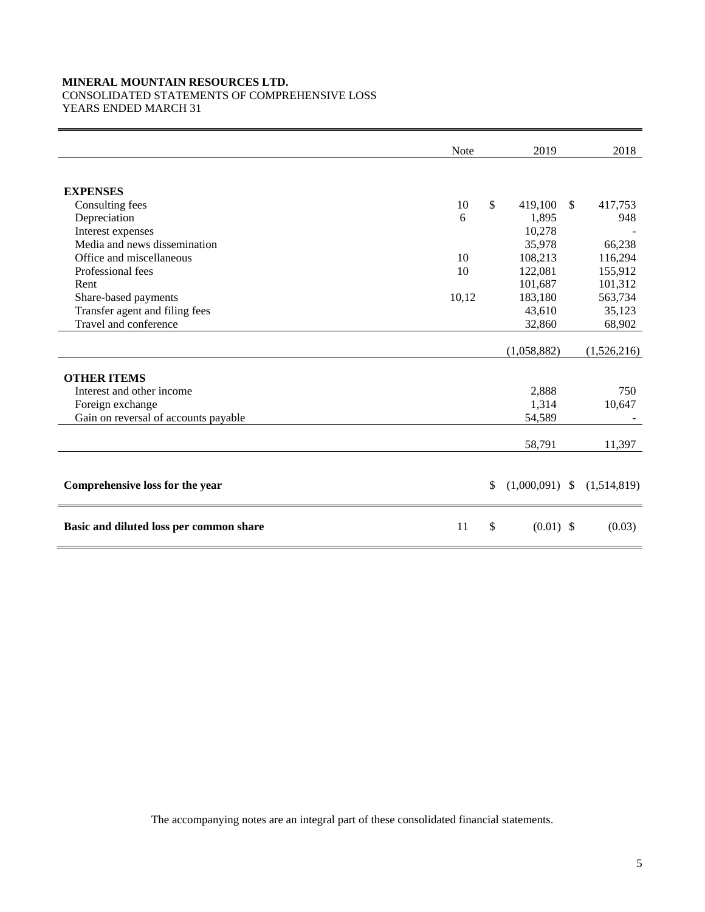# **MINERAL MOUNTAIN RESOURCES LTD.**  CONSOLIDATED STATEMENTS OF COMPREHENSIVE LOSS

YEARS ENDED MARCH 31

|                                                   | <b>Note</b> | 2019                   |               | 2018           |
|---------------------------------------------------|-------------|------------------------|---------------|----------------|
|                                                   |             |                        |               |                |
| <b>EXPENSES</b>                                   |             |                        |               |                |
|                                                   | 10          | \$                     | <sup>\$</sup> |                |
| Consulting fees                                   | 6           | 419,100<br>1,895       |               | 417,753<br>948 |
| Depreciation                                      |             | 10,278                 |               |                |
| Interest expenses<br>Media and news dissemination |             | 35,978                 |               | 66,238         |
| Office and miscellaneous                          | 10          |                        |               |                |
| Professional fees                                 | 10          | 108,213                |               | 116,294        |
|                                                   |             | 122,081                |               | 155,912        |
| Rent                                              |             | 101,687                |               | 101,312        |
| Share-based payments                              | 10,12       | 183,180                |               | 563,734        |
| Transfer agent and filing fees                    |             | 43,610                 |               | 35,123         |
| Travel and conference                             |             | 32,860                 |               | 68,902         |
|                                                   |             | (1,058,882)            |               | (1,526,216)    |
|                                                   |             |                        |               |                |
| <b>OTHER ITEMS</b>                                |             |                        |               |                |
| Interest and other income                         |             | 2,888                  |               | 750            |
| Foreign exchange                                  |             | 1,314                  |               | 10,647         |
| Gain on reversal of accounts payable              |             | 54,589                 |               |                |
|                                                   |             |                        |               |                |
|                                                   |             | 58,791                 |               | 11,397         |
|                                                   |             |                        |               |                |
| Comprehensive loss for the year                   |             | \$<br>$(1,000,091)$ \$ |               | (1,514,819)    |
|                                                   |             |                        |               |                |
| Basic and diluted loss per common share           | 11          | \$<br>$(0.01)$ \$      |               | (0.03)         |
|                                                   |             |                        |               |                |

The accompanying notes are an integral part of these consolidated financial statements.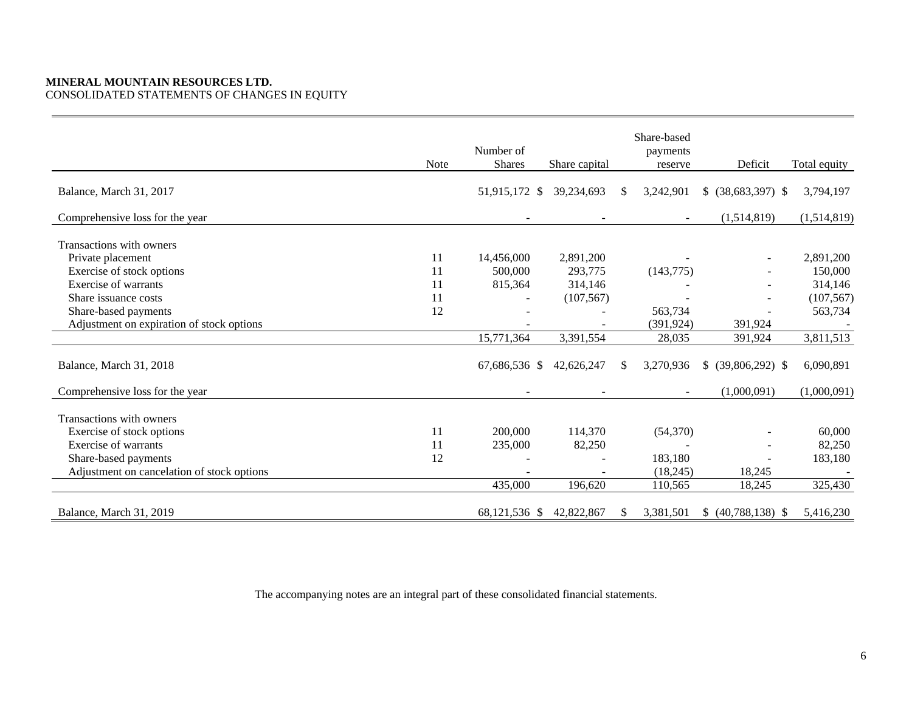# **MINERAL MOUNTAIN RESOURCES LTD.**  CONSOLIDATED STATEMENTS OF CHANGES IN EQUITY

|                                                                                                                                                                                                                            | Note                       | Number of<br><b>Shares</b>                                      | Share capital                                                            | Share-based<br>payments<br>reserve                              | Deficit                                                 | Total equity                                                                       |
|----------------------------------------------------------------------------------------------------------------------------------------------------------------------------------------------------------------------------|----------------------------|-----------------------------------------------------------------|--------------------------------------------------------------------------|-----------------------------------------------------------------|---------------------------------------------------------|------------------------------------------------------------------------------------|
| Balance, March 31, 2017                                                                                                                                                                                                    |                            | 51,915,172 \$                                                   | 39,234,693                                                               | \$<br>3,242,901                                                 | $$ (38,683,397)$ \\$                                    | 3,794,197                                                                          |
| Comprehensive loss for the year                                                                                                                                                                                            |                            |                                                                 |                                                                          |                                                                 | (1,514,819)                                             | (1,514,819)                                                                        |
| Transactions with owners<br>Private placement<br>Exercise of stock options<br>Exercise of warrants<br>Share issuance costs<br>Share-based payments<br>Adjustment on expiration of stock options<br>Balance, March 31, 2018 | 11<br>11<br>11<br>11<br>12 | 14,456,000<br>500,000<br>815,364<br>15,771,364<br>67,686,536 \$ | 2,891,200<br>293,775<br>314,146<br>(107, 567)<br>3,391,554<br>42,626,247 | \$<br>(143,775)<br>563,734<br>(391, 924)<br>28,035<br>3,270,936 | 391,924<br>391,924<br>$(39,806,292)$ \$<br><sup>S</sup> | 2,891,200<br>150,000<br>314,146<br>(107, 567)<br>563,734<br>3,811,513<br>6,090,891 |
| Comprehensive loss for the year                                                                                                                                                                                            |                            |                                                                 |                                                                          |                                                                 | (1,000,091)                                             | (1,000,091)                                                                        |
| Transactions with owners<br>Exercise of stock options<br>Exercise of warrants<br>Share-based payments<br>Adjustment on cancelation of stock options                                                                        | 11<br>11<br>12             | 200,000<br>235,000<br>435,000                                   | 114,370<br>82,250<br>196,620                                             | (54,370)<br>183,180<br>(18,245)<br>110,565                      | 18,245<br>18,245                                        | 60,000<br>82,250<br>183,180<br>325,430                                             |
| Balance, March 31, 2019                                                                                                                                                                                                    |                            | 68,121,536 \$                                                   | 42,822,867                                                               | \$<br>3,381,501                                                 | $$ (40,788,138)$ \\$                                    | 5,416,230                                                                          |

The accompanying notes are an integral part of these consolidated financial statements.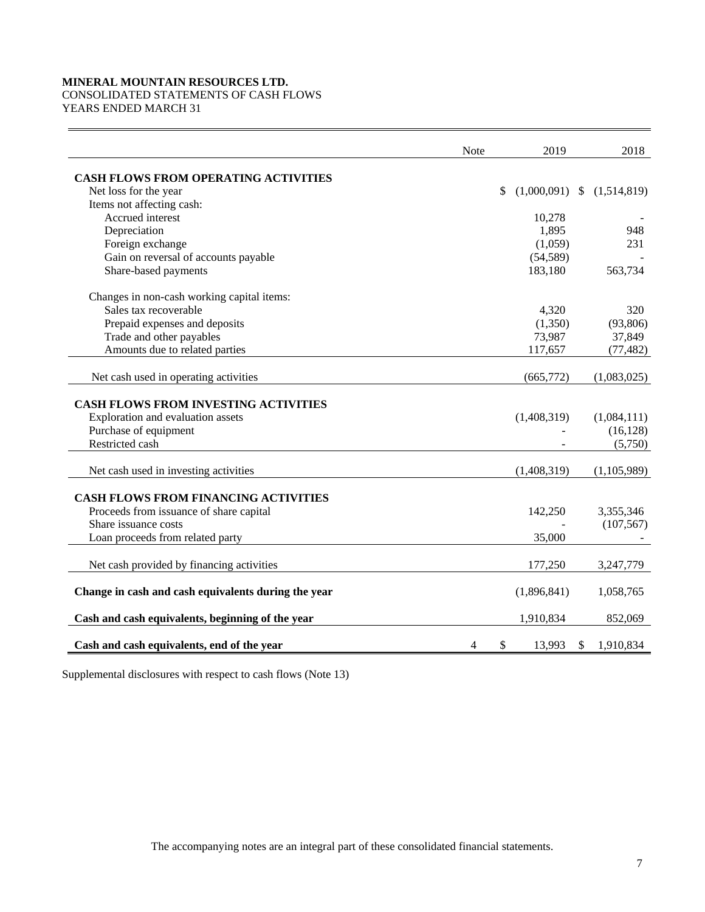# **MINERAL MOUNTAIN RESOURCES LTD.**  CONSOLIDATED STATEMENTS OF CASH FLOWS

YEARS ENDED MARCH 31

|                                                                      | <b>Note</b> | 2019                   |     | 2018          |
|----------------------------------------------------------------------|-------------|------------------------|-----|---------------|
|                                                                      |             |                        |     |               |
| <b>CASH FLOWS FROM OPERATING ACTIVITIES</b><br>Net loss for the year |             | \$<br>$(1,000,091)$ \$ |     | (1,514,819)   |
| Items not affecting cash:                                            |             |                        |     |               |
| Accrued interest                                                     |             | 10,278                 |     |               |
| Depreciation                                                         |             | 1,895                  |     | 948           |
| Foreign exchange                                                     |             | (1,059)                |     | 231           |
| Gain on reversal of accounts payable                                 |             | (54, 589)              |     |               |
| Share-based payments                                                 |             | 183,180                |     | 563,734       |
| Changes in non-cash working capital items:                           |             |                        |     |               |
| Sales tax recoverable                                                |             | 4,320                  |     | 320           |
| Prepaid expenses and deposits                                        |             | (1,350)                |     | (93, 806)     |
| Trade and other payables                                             |             | 73,987                 |     | 37,849        |
| Amounts due to related parties                                       |             | 117,657                |     | (77, 482)     |
| Net cash used in operating activities                                |             | (665,772)              |     | (1,083,025)   |
|                                                                      |             |                        |     |               |
| <b>CASH FLOWS FROM INVESTING ACTIVITIES</b>                          |             |                        |     |               |
| Exploration and evaluation assets                                    |             | (1,408,319)            |     | (1,084,111)   |
| Purchase of equipment                                                |             |                        |     | (16, 128)     |
| Restricted cash                                                      |             |                        |     | (5,750)       |
| Net cash used in investing activities                                |             | (1,408,319)            |     | (1, 105, 989) |
|                                                                      |             |                        |     |               |
| <b>CASH FLOWS FROM FINANCING ACTIVITIES</b>                          |             |                        |     |               |
| Proceeds from issuance of share capital                              |             | 142,250                |     | 3,355,346     |
| Share issuance costs                                                 |             |                        |     | (107, 567)    |
| Loan proceeds from related party                                     |             | 35,000                 |     |               |
| Net cash provided by financing activities                            |             | 177,250                |     | 3,247,779     |
|                                                                      |             |                        |     |               |
| Change in cash and cash equivalents during the year                  |             | (1,896,841)            |     | 1,058,765     |
| Cash and cash equivalents, beginning of the year                     |             | 1,910,834              |     | 852,069       |
| Cash and cash equivalents, end of the year                           | 4           | \$<br>13,993           | \$. | 1,910,834     |

Supplemental disclosures with respect to cash flows (Note 13)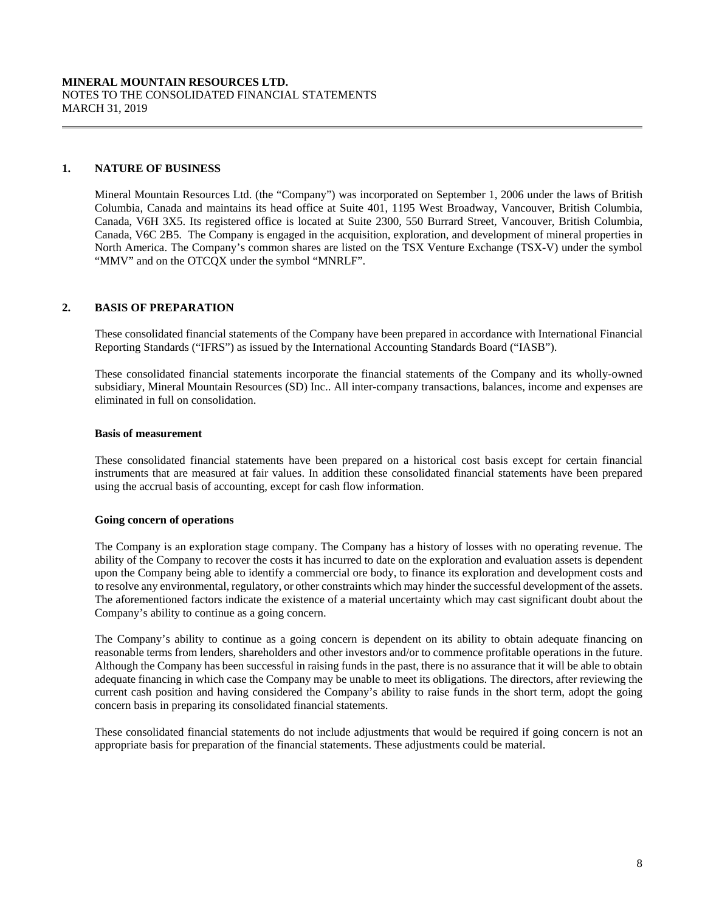### **1. NATURE OF BUSINESS**

 Mineral Mountain Resources Ltd. (the "Company") was incorporated on September 1, 2006 under the laws of British Columbia, Canada and maintains its head office at Suite 401, 1195 West Broadway, Vancouver, British Columbia, Canada, V6H 3X5. Its registered office is located at Suite 2300, 550 Burrard Street, Vancouver, British Columbia, Canada, V6C 2B5. The Company is engaged in the acquisition, exploration, and development of mineral properties in North America. The Company's common shares are listed on the TSX Venture Exchange (TSX-V) under the symbol "MMV" and on the OTCQX under the symbol "MNRLF".

# **2. BASIS OF PREPARATION**

These consolidated financial statements of the Company have been prepared in accordance with International Financial Reporting Standards ("IFRS") as issued by the International Accounting Standards Board ("IASB").

These consolidated financial statements incorporate the financial statements of the Company and its wholly-owned subsidiary, Mineral Mountain Resources (SD) Inc.. All inter-company transactions, balances, income and expenses are eliminated in full on consolidation.

#### **Basis of measurement**

These consolidated financial statements have been prepared on a historical cost basis except for certain financial instruments that are measured at fair values. In addition these consolidated financial statements have been prepared using the accrual basis of accounting, except for cash flow information.

# **Going concern of operations**

The Company is an exploration stage company. The Company has a history of losses with no operating revenue. The ability of the Company to recover the costs it has incurred to date on the exploration and evaluation assets is dependent upon the Company being able to identify a commercial ore body, to finance its exploration and development costs and to resolve any environmental, regulatory, or other constraints which may hinder the successful development of the assets. The aforementioned factors indicate the existence of a material uncertainty which may cast significant doubt about the Company's ability to continue as a going concern.

The Company's ability to continue as a going concern is dependent on its ability to obtain adequate financing on reasonable terms from lenders, shareholders and other investors and/or to commence profitable operations in the future. Although the Company has been successful in raising funds in the past, there is no assurance that it will be able to obtain adequate financing in which case the Company may be unable to meet its obligations. The directors, after reviewing the current cash position and having considered the Company's ability to raise funds in the short term, adopt the going concern basis in preparing its consolidated financial statements.

These consolidated financial statements do not include adjustments that would be required if going concern is not an appropriate basis for preparation of the financial statements. These adjustments could be material.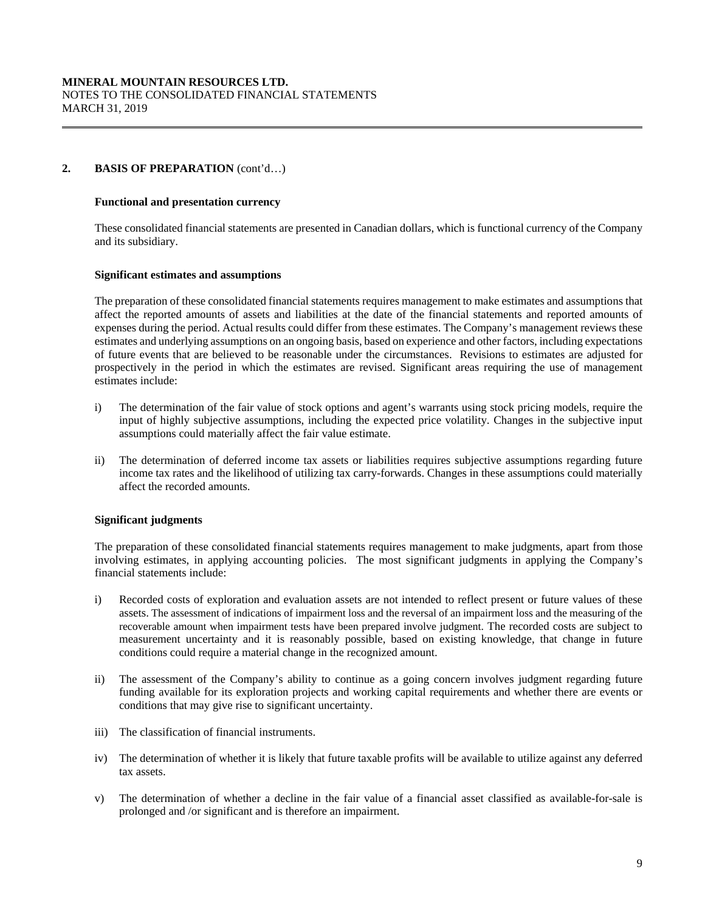# **2. BASIS OF PREPARATION** (cont'd…)

# **Functional and presentation currency**

These consolidated financial statements are presented in Canadian dollars, which is functional currency of the Company and its subsidiary.

### **Significant estimates and assumptions**

The preparation of these consolidated financial statements requires management to make estimates and assumptions that affect the reported amounts of assets and liabilities at the date of the financial statements and reported amounts of expenses during the period. Actual results could differ from these estimates. The Company's management reviews these estimates and underlying assumptions on an ongoing basis, based on experience and other factors, including expectations of future events that are believed to be reasonable under the circumstances. Revisions to estimates are adjusted for prospectively in the period in which the estimates are revised. Significant areas requiring the use of management estimates include:

- i) The determination of the fair value of stock options and agent's warrants using stock pricing models, require the input of highly subjective assumptions, including the expected price volatility. Changes in the subjective input assumptions could materially affect the fair value estimate.
- ii) The determination of deferred income tax assets or liabilities requires subjective assumptions regarding future income tax rates and the likelihood of utilizing tax carry-forwards. Changes in these assumptions could materially affect the recorded amounts.

# **Significant judgments**

The preparation of these consolidated financial statements requires management to make judgments, apart from those involving estimates, in applying accounting policies. The most significant judgments in applying the Company's financial statements include:

- i) Recorded costs of exploration and evaluation assets are not intended to reflect present or future values of these assets. The assessment of indications of impairment loss and the reversal of an impairment loss and the measuring of the recoverable amount when impairment tests have been prepared involve judgment. The recorded costs are subject to measurement uncertainty and it is reasonably possible, based on existing knowledge, that change in future conditions could require a material change in the recognized amount.
- ii) The assessment of the Company's ability to continue as a going concern involves judgment regarding future funding available for its exploration projects and working capital requirements and whether there are events or conditions that may give rise to significant uncertainty.
- iii) The classification of financial instruments.
- iv) The determination of whether it is likely that future taxable profits will be available to utilize against any deferred tax assets.
- v) The determination of whether a decline in the fair value of a financial asset classified as available-for-sale is prolonged and /or significant and is therefore an impairment.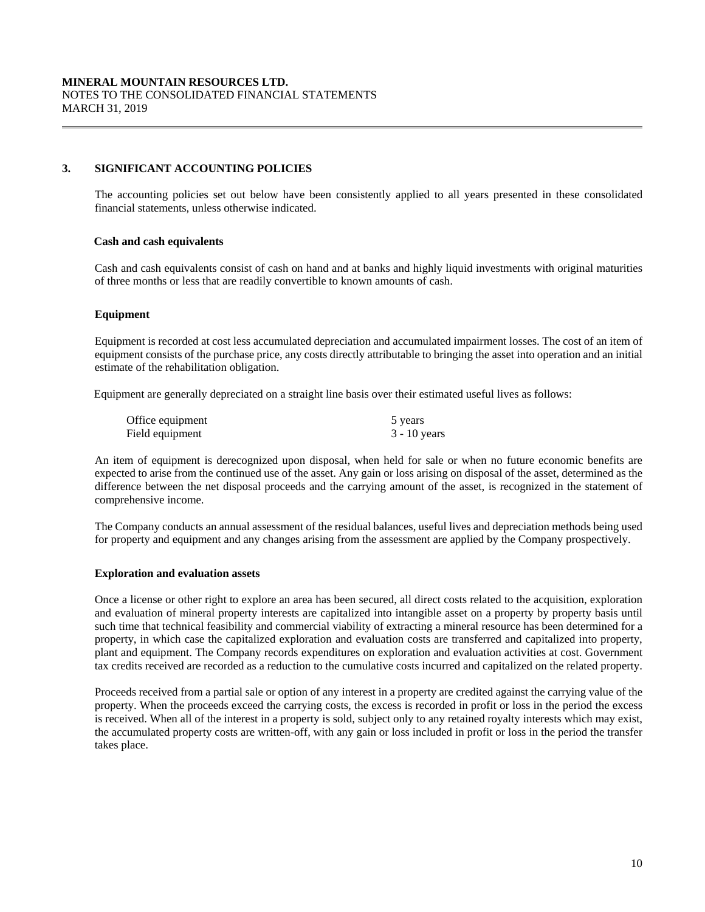# **3. SIGNIFICANT ACCOUNTING POLICIES**

The accounting policies set out below have been consistently applied to all years presented in these consolidated financial statements, unless otherwise indicated.

### **Cash and cash equivalents**

 Cash and cash equivalents consist of cash on hand and at banks and highly liquid investments with original maturities of three months or less that are readily convertible to known amounts of cash.

#### **Equipment**

Equipment is recorded at cost less accumulated depreciation and accumulated impairment losses. The cost of an item of equipment consists of the purchase price, any costs directly attributable to bringing the asset into operation and an initial estimate of the rehabilitation obligation.

Equipment are generally depreciated on a straight line basis over their estimated useful lives as follows:

| Office equipment | 5 years        |
|------------------|----------------|
| Field equipment  | $3 - 10$ years |

An item of equipment is derecognized upon disposal, when held for sale or when no future economic benefits are expected to arise from the continued use of the asset. Any gain or loss arising on disposal of the asset, determined as the difference between the net disposal proceeds and the carrying amount of the asset, is recognized in the statement of comprehensive income.

The Company conducts an annual assessment of the residual balances, useful lives and depreciation methods being used for property and equipment and any changes arising from the assessment are applied by the Company prospectively.

#### **Exploration and evaluation assets**

Once a license or other right to explore an area has been secured, all direct costs related to the acquisition, exploration and evaluation of mineral property interests are capitalized into intangible asset on a property by property basis until such time that technical feasibility and commercial viability of extracting a mineral resource has been determined for a property, in which case the capitalized exploration and evaluation costs are transferred and capitalized into property, plant and equipment. The Company records expenditures on exploration and evaluation activities at cost. Government tax credits received are recorded as a reduction to the cumulative costs incurred and capitalized on the related property.

Proceeds received from a partial sale or option of any interest in a property are credited against the carrying value of the property. When the proceeds exceed the carrying costs, the excess is recorded in profit or loss in the period the excess is received. When all of the interest in a property is sold, subject only to any retained royalty interests which may exist, the accumulated property costs are written-off, with any gain or loss included in profit or loss in the period the transfer takes place.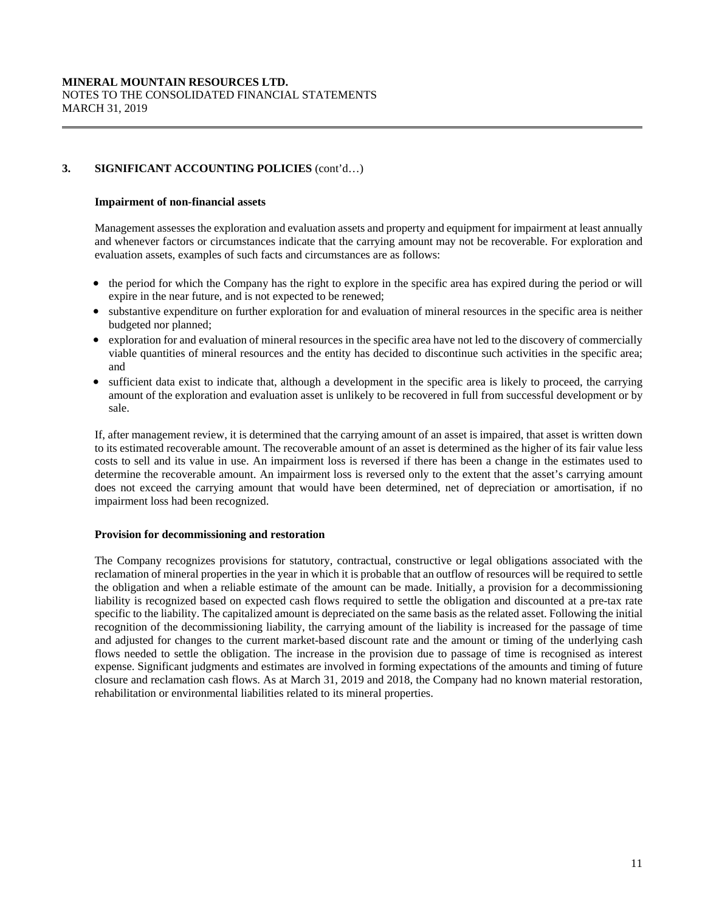### **Impairment of non-financial assets**

Management assesses the exploration and evaluation assets and property and equipment for impairment at least annually and whenever factors or circumstances indicate that the carrying amount may not be recoverable. For exploration and evaluation assets, examples of such facts and circumstances are as follows:

- the period for which the Company has the right to explore in the specific area has expired during the period or will expire in the near future, and is not expected to be renewed;
- substantive expenditure on further exploration for and evaluation of mineral resources in the specific area is neither budgeted nor planned;
- exploration for and evaluation of mineral resources in the specific area have not led to the discovery of commercially viable quantities of mineral resources and the entity has decided to discontinue such activities in the specific area; and
- sufficient data exist to indicate that, although a development in the specific area is likely to proceed, the carrying amount of the exploration and evaluation asset is unlikely to be recovered in full from successful development or by sale.

If, after management review, it is determined that the carrying amount of an asset is impaired, that asset is written down to its estimated recoverable amount. The recoverable amount of an asset is determined as the higher of its fair value less costs to sell and its value in use. An impairment loss is reversed if there has been a change in the estimates used to determine the recoverable amount. An impairment loss is reversed only to the extent that the asset's carrying amount does not exceed the carrying amount that would have been determined, net of depreciation or amortisation, if no impairment loss had been recognized.

### **Provision for decommissioning and restoration**

The Company recognizes provisions for statutory, contractual, constructive or legal obligations associated with the reclamation of mineral properties in the year in which it is probable that an outflow of resources will be required to settle the obligation and when a reliable estimate of the amount can be made. Initially, a provision for a decommissioning liability is recognized based on expected cash flows required to settle the obligation and discounted at a pre-tax rate specific to the liability. The capitalized amount is depreciated on the same basis as the related asset. Following the initial recognition of the decommissioning liability, the carrying amount of the liability is increased for the passage of time and adjusted for changes to the current market-based discount rate and the amount or timing of the underlying cash flows needed to settle the obligation. The increase in the provision due to passage of time is recognised as interest expense. Significant judgments and estimates are involved in forming expectations of the amounts and timing of future closure and reclamation cash flows. As at March 31, 2019 and 2018, the Company had no known material restoration, rehabilitation or environmental liabilities related to its mineral properties.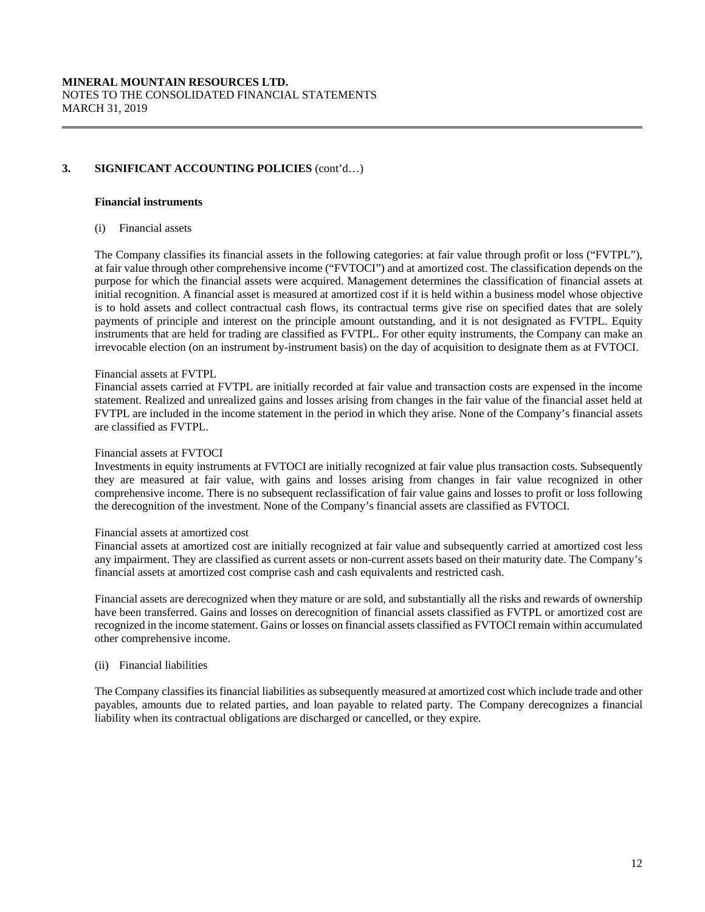### **Financial instruments**

(i) Financial assets

The Company classifies its financial assets in the following categories: at fair value through profit or loss ("FVTPL"), at fair value through other comprehensive income ("FVTOCI") and at amortized cost. The classification depends on the purpose for which the financial assets were acquired. Management determines the classification of financial assets at initial recognition. A financial asset is measured at amortized cost if it is held within a business model whose objective is to hold assets and collect contractual cash flows, its contractual terms give rise on specified dates that are solely payments of principle and interest on the principle amount outstanding, and it is not designated as FVTPL. Equity instruments that are held for trading are classified as FVTPL. For other equity instruments, the Company can make an irrevocable election (on an instrument by-instrument basis) on the day of acquisition to designate them as at FVTOCI.

### Financial assets at FVTPL

Financial assets carried at FVTPL are initially recorded at fair value and transaction costs are expensed in the income statement. Realized and unrealized gains and losses arising from changes in the fair value of the financial asset held at FVTPL are included in the income statement in the period in which they arise. None of the Company's financial assets are classified as FVTPL.

### Financial assets at FVTOCI

Investments in equity instruments at FVTOCI are initially recognized at fair value plus transaction costs. Subsequently they are measured at fair value, with gains and losses arising from changes in fair value recognized in other comprehensive income. There is no subsequent reclassification of fair value gains and losses to profit or loss following the derecognition of the investment. None of the Company's financial assets are classified as FVTOCI.

## Financial assets at amortized cost

Financial assets at amortized cost are initially recognized at fair value and subsequently carried at amortized cost less any impairment. They are classified as current assets or non-current assets based on their maturity date. The Company's financial assets at amortized cost comprise cash and cash equivalents and restricted cash.

Financial assets are derecognized when they mature or are sold, and substantially all the risks and rewards of ownership have been transferred. Gains and losses on derecognition of financial assets classified as FVTPL or amortized cost are recognized in the income statement. Gains or losses on financial assets classified as FVTOCI remain within accumulated other comprehensive income.

### (ii) Financial liabilities

The Company classifies its financial liabilities as subsequently measured at amortized cost which include trade and other payables, amounts due to related parties, and loan payable to related party. The Company derecognizes a financial liability when its contractual obligations are discharged or cancelled, or they expire.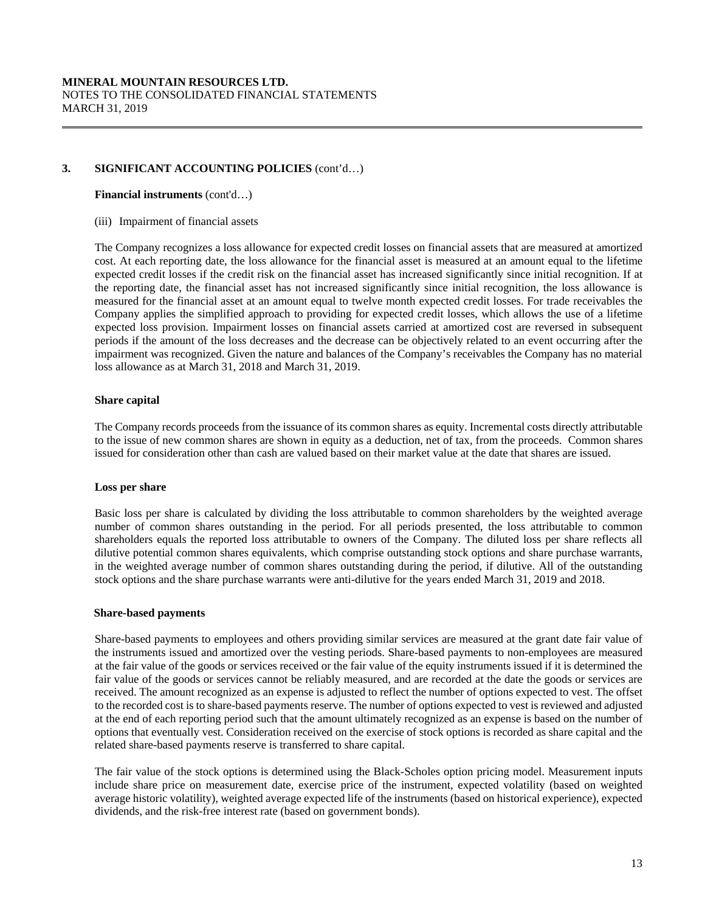### **Financial instruments** (cont'd…)

(iii) Impairment of financial assets

The Company recognizes a loss allowance for expected credit losses on financial assets that are measured at amortized cost. At each reporting date, the loss allowance for the financial asset is measured at an amount equal to the lifetime expected credit losses if the credit risk on the financial asset has increased significantly since initial recognition. If at the reporting date, the financial asset has not increased significantly since initial recognition, the loss allowance is measured for the financial asset at an amount equal to twelve month expected credit losses. For trade receivables the Company applies the simplified approach to providing for expected credit losses, which allows the use of a lifetime expected loss provision. Impairment losses on financial assets carried at amortized cost are reversed in subsequent periods if the amount of the loss decreases and the decrease can be objectively related to an event occurring after the impairment was recognized. Given the nature and balances of the Company's receivables the Company has no material loss allowance as at March 31, 2018 and March 31, 2019.

### **Share capital**

The Company records proceeds from the issuance of its common shares as equity. Incremental costs directly attributable to the issue of new common shares are shown in equity as a deduction, net of tax, from the proceeds. Common shares issued for consideration other than cash are valued based on their market value at the date that shares are issued.

### **Loss per share**

Basic loss per share is calculated by dividing the loss attributable to common shareholders by the weighted average number of common shares outstanding in the period. For all periods presented, the loss attributable to common shareholders equals the reported loss attributable to owners of the Company. The diluted loss per share reflects all dilutive potential common shares equivalents, which comprise outstanding stock options and share purchase warrants, in the weighted average number of common shares outstanding during the period, if dilutive. All of the outstanding stock options and the share purchase warrants were anti-dilutive for the years ended March 31, 2019 and 2018.

### **Share-based payments**

Share-based payments to employees and others providing similar services are measured at the grant date fair value of the instruments issued and amortized over the vesting periods. Share-based payments to non-employees are measured at the fair value of the goods or services received or the fair value of the equity instruments issued if it is determined the fair value of the goods or services cannot be reliably measured, and are recorded at the date the goods or services are received. The amount recognized as an expense is adjusted to reflect the number of options expected to vest. The offset to the recorded cost is to share-based payments reserve. The number of options expected to vest is reviewed and adjusted at the end of each reporting period such that the amount ultimately recognized as an expense is based on the number of options that eventually vest. Consideration received on the exercise of stock options is recorded as share capital and the related share-based payments reserve is transferred to share capital.

The fair value of the stock options is determined using the Black-Scholes option pricing model. Measurement inputs include share price on measurement date, exercise price of the instrument, expected volatility (based on weighted average historic volatility), weighted average expected life of the instruments (based on historical experience), expected dividends, and the risk-free interest rate (based on government bonds).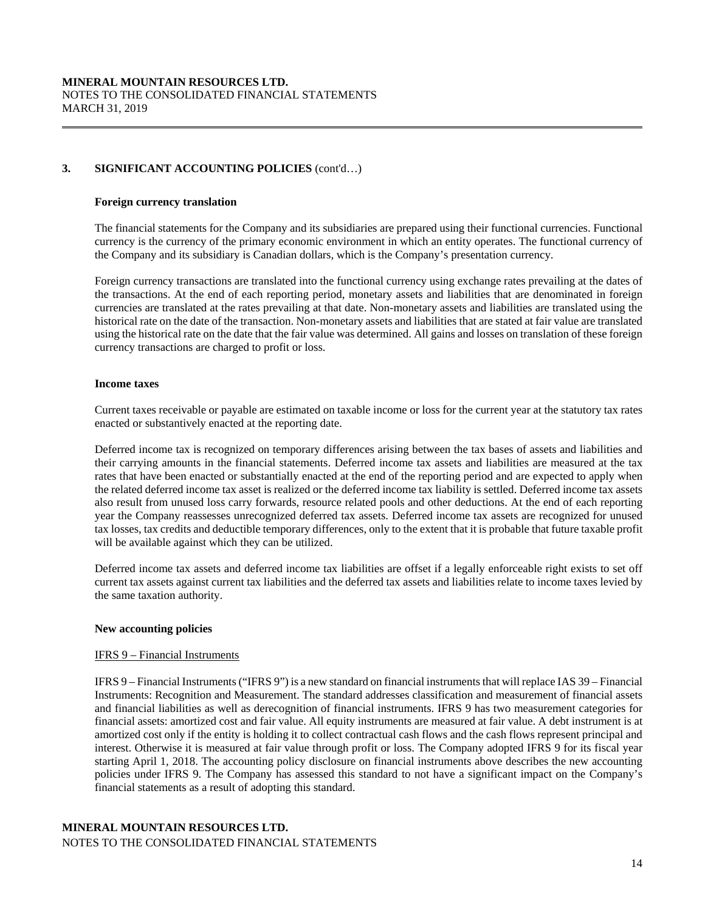### **Foreign currency translation**

The financial statements for the Company and its subsidiaries are prepared using their functional currencies. Functional currency is the currency of the primary economic environment in which an entity operates. The functional currency of the Company and its subsidiary is Canadian dollars, which is the Company's presentation currency.

Foreign currency transactions are translated into the functional currency using exchange rates prevailing at the dates of the transactions. At the end of each reporting period, monetary assets and liabilities that are denominated in foreign currencies are translated at the rates prevailing at that date. Non-monetary assets and liabilities are translated using the historical rate on the date of the transaction. Non-monetary assets and liabilities that are stated at fair value are translated using the historical rate on the date that the fair value was determined. All gains and losses on translation of these foreign currency transactions are charged to profit or loss.

#### **Income taxes**

Current taxes receivable or payable are estimated on taxable income or loss for the current year at the statutory tax rates enacted or substantively enacted at the reporting date.

Deferred income tax is recognized on temporary differences arising between the tax bases of assets and liabilities and their carrying amounts in the financial statements. Deferred income tax assets and liabilities are measured at the tax rates that have been enacted or substantially enacted at the end of the reporting period and are expected to apply when the related deferred income tax asset is realized or the deferred income tax liability is settled. Deferred income tax assets also result from unused loss carry forwards, resource related pools and other deductions. At the end of each reporting year the Company reassesses unrecognized deferred tax assets. Deferred income tax assets are recognized for unused tax losses, tax credits and deductible temporary differences, only to the extent that it is probable that future taxable profit will be available against which they can be utilized.

Deferred income tax assets and deferred income tax liabilities are offset if a legally enforceable right exists to set off current tax assets against current tax liabilities and the deferred tax assets and liabilities relate to income taxes levied by the same taxation authority.

### **New accounting policies**

### IFRS 9 – Financial Instruments

IFRS 9 – Financial Instruments ("IFRS 9") is a new standard on financial instruments that will replace IAS 39 – Financial Instruments: Recognition and Measurement. The standard addresses classification and measurement of financial assets and financial liabilities as well as derecognition of financial instruments. IFRS 9 has two measurement categories for financial assets: amortized cost and fair value. All equity instruments are measured at fair value. A debt instrument is at amortized cost only if the entity is holding it to collect contractual cash flows and the cash flows represent principal and interest. Otherwise it is measured at fair value through profit or loss. The Company adopted IFRS 9 for its fiscal year starting April 1, 2018. The accounting policy disclosure on financial instruments above describes the new accounting policies under IFRS 9. The Company has assessed this standard to not have a significant impact on the Company's financial statements as a result of adopting this standard.

# **MINERAL MOUNTAIN RESOURCES LTD.**

NOTES TO THE CONSOLIDATED FINANCIAL STATEMENTS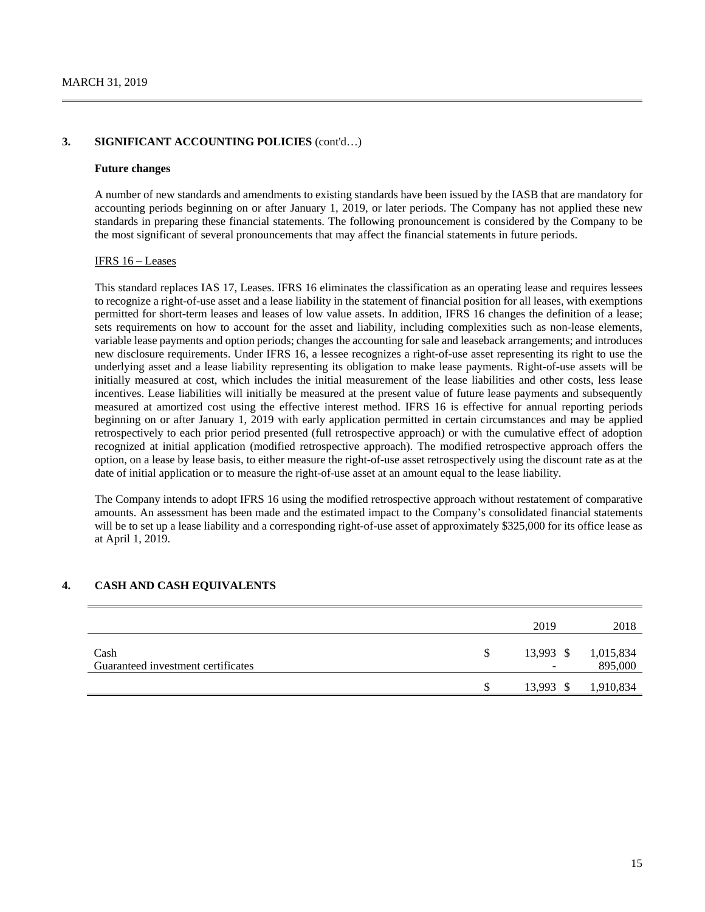#### **Future changes**

A number of new standards and amendments to existing standards have been issued by the IASB that are mandatory for accounting periods beginning on or after January 1, 2019, or later periods. The Company has not applied these new standards in preparing these financial statements. The following pronouncement is considered by the Company to be the most significant of several pronouncements that may affect the financial statements in future periods.

#### IFRS 16 – Leases

This standard replaces IAS 17, Leases. IFRS 16 eliminates the classification as an operating lease and requires lessees to recognize a right-of-use asset and a lease liability in the statement of financial position for all leases, with exemptions permitted for short-term leases and leases of low value assets. In addition, IFRS 16 changes the definition of a lease; sets requirements on how to account for the asset and liability, including complexities such as non-lease elements, variable lease payments and option periods; changes the accounting for sale and leaseback arrangements; and introduces new disclosure requirements. Under IFRS 16, a lessee recognizes a right-of-use asset representing its right to use the underlying asset and a lease liability representing its obligation to make lease payments. Right-of-use assets will be initially measured at cost, which includes the initial measurement of the lease liabilities and other costs, less lease incentives. Lease liabilities will initially be measured at the present value of future lease payments and subsequently measured at amortized cost using the effective interest method. IFRS 16 is effective for annual reporting periods beginning on or after January 1, 2019 with early application permitted in certain circumstances and may be applied retrospectively to each prior period presented (full retrospective approach) or with the cumulative effect of adoption recognized at initial application (modified retrospective approach). The modified retrospective approach offers the option, on a lease by lease basis, to either measure the right-of-use asset retrospectively using the discount rate as at the date of initial application or to measure the right-of-use asset at an amount equal to the lease liability.

The Company intends to adopt IFRS 16 using the modified retrospective approach without restatement of comparative amounts. An assessment has been made and the estimated impact to the Company's consolidated financial statements will be to set up a lease liability and a corresponding right-of-use asset of approximately \$325,000 for its office lease as at April 1, 2019.

# **4. CASH AND CASH EQUIVALENTS**

|                                            |   | 2019                                  | 2018                 |
|--------------------------------------------|---|---------------------------------------|----------------------|
| Cash<br>Guaranteed investment certificates | S | 13,993 \$<br>$\overline{\phantom{0}}$ | 1,015,834<br>895,000 |
|                                            |   | 13,993 \$                             | 1,910,834            |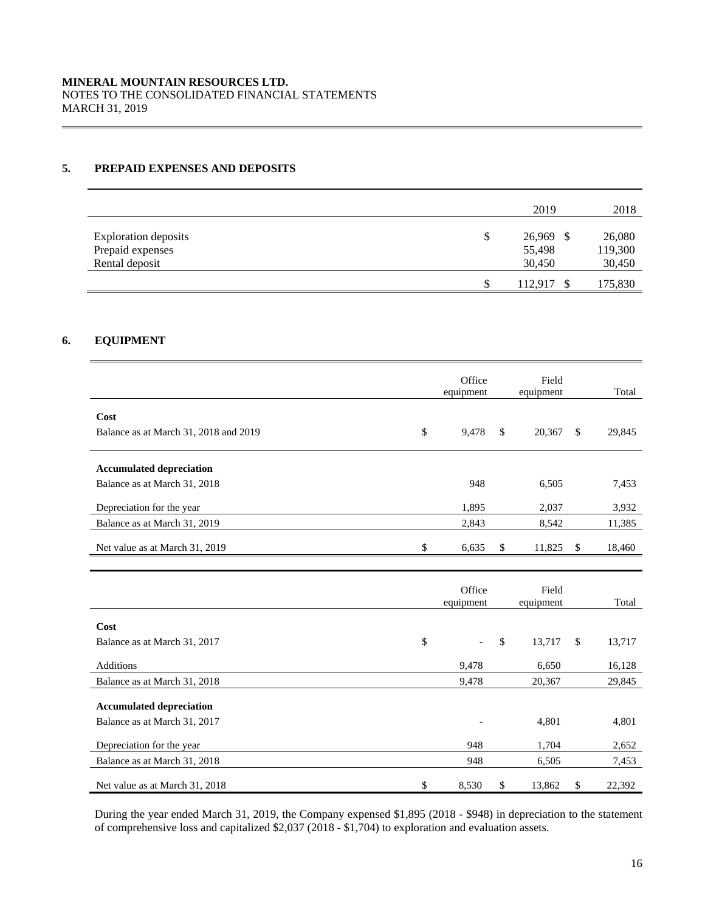# **5. PREPAID EXPENSES AND DEPOSITS**

|                                                 | 2019                      | 2018              |
|-------------------------------------------------|---------------------------|-------------------|
| <b>Exploration</b> deposits<br>Prepaid expenses | \$<br>26,969 \$<br>55,498 | 26,080<br>119,300 |
| Rental deposit                                  | 30,450                    | 30,450            |
|                                                 | \$<br>112,917             | 175,830           |

# **6. EQUIPMENT**

|                                       | Office<br>equipment            | Field<br>equipment |              | Total  |
|---------------------------------------|--------------------------------|--------------------|--------------|--------|
|                                       |                                |                    |              |        |
| Cost                                  |                                |                    |              |        |
| Balance as at March 31, 2018 and 2019 | \$<br>9,478                    | \$<br>20,367       | $\mathbb{S}$ | 29,845 |
| <b>Accumulated depreciation</b>       |                                |                    |              |        |
| Balance as at March 31, 2018          | 948                            | 6,505              |              | 7,453  |
| Depreciation for the year             | 1,895                          | 2,037              |              | 3,932  |
| Balance as at March 31, 2019          | 2,843                          | 8,542              |              | 11,385 |
| Net value as at March 31, 2019        | \$<br>6,635                    | \$<br>11,825       | \$           | 18,460 |
|                                       |                                |                    |              |        |
|                                       | Office                         | Field              |              |        |
|                                       | equipment                      | equipment          |              | Total  |
| Cost                                  |                                |                    |              |        |
| Balance as at March 31, 2017          | \$<br>$\overline{\phantom{0}}$ | \$<br>13,717       | \$           | 13,717 |
| Additions                             | 9,478                          | 6,650              |              | 16,128 |
| Balance as at March 31, 2018          | 9,478                          | 20,367             |              | 29,845 |
|                                       |                                |                    |              |        |
| <b>Accumulated depreciation</b>       |                                |                    |              |        |
| Balance as at March 31, 2017          |                                | 4,801              |              | 4,801  |
| Depreciation for the year             | 948                            | 1,704              |              | 2,652  |
| Balance as at March 31, 2018          | 948                            | 6,505              |              | 7,453  |
| Net value as at March 31, 2018        | \$<br>8,530                    | \$<br>13,862       | \$           | 22,392 |

During the year ended March 31, 2019, the Company expensed \$1,895 (2018 - \$948) in depreciation to the statement of comprehensive loss and capitalized \$2,037 (2018 - \$1,704) to exploration and evaluation assets.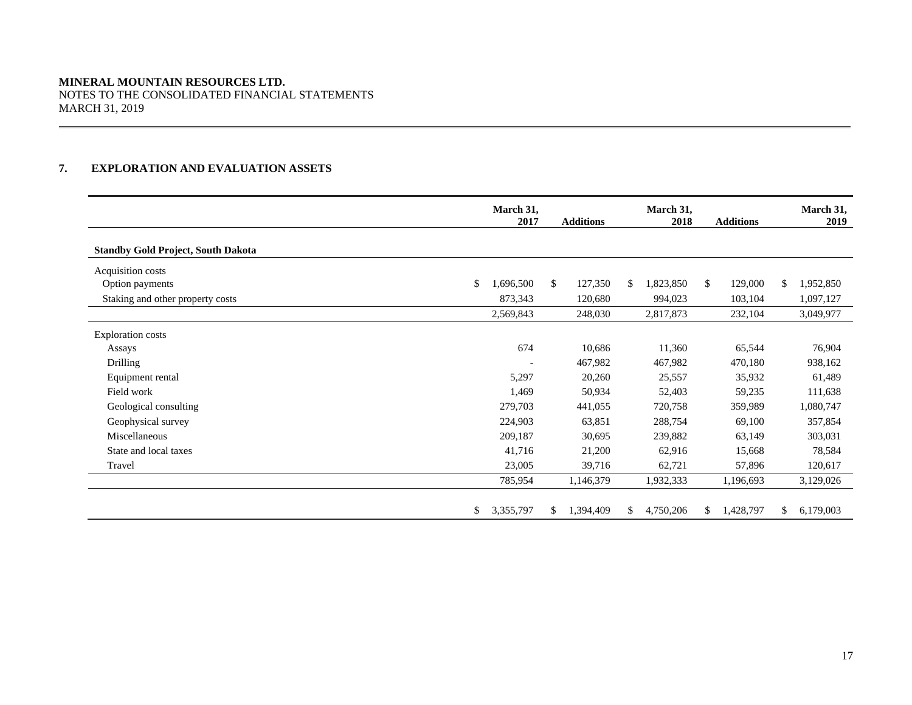## **MINERAL MOUNTAIN RESOURCES LTD.**

NOTES TO THE CONSOLIDATED FINANCIAL STATEMENTS MARCH 31, 2019

## **7. EXPLORATION AND EVALUATION ASSETS**

|                                           | March 31,<br>2017        | <b>Additions</b> | March 31,<br>2018 |     | <b>Additions</b> |     | March 31,<br>2019 |
|-------------------------------------------|--------------------------|------------------|-------------------|-----|------------------|-----|-------------------|
| <b>Standby Gold Project, South Dakota</b> |                          |                  |                   |     |                  |     |                   |
| Acquisition costs                         |                          |                  |                   |     |                  |     |                   |
| \$<br>Option payments                     | 1,696,500                | \$<br>127,350    | \$<br>1,823,850   | \$  | 129,000          | \$  | 1,952,850         |
| Staking and other property costs          | 873,343                  | 120,680          | 994,023           |     | 103,104          |     | 1,097,127         |
|                                           | 2,569,843                | 248,030          | 2,817,873         |     | 232,104          |     | 3,049,977         |
| <b>Exploration costs</b>                  |                          |                  |                   |     |                  |     |                   |
| Assays                                    | 674                      | 10,686           | 11,360            |     | 65,544           |     | 76,904            |
| Drilling                                  | $\overline{\phantom{a}}$ | 467,982          | 467,982           |     | 470,180          |     | 938,162           |
| Equipment rental                          | 5,297                    | 20,260           | 25,557            |     | 35,932           |     | 61,489            |
| Field work                                | 1,469                    | 50,934           | 52,403            |     | 59,235           |     | 111,638           |
| Geological consulting                     | 279,703                  | 441,055          | 720,758           |     | 359,989          |     | 1,080,747         |
| Geophysical survey                        | 224,903                  | 63,851           | 288,754           |     | 69,100           |     | 357,854           |
| Miscellaneous                             | 209,187                  | 30,695           | 239,882           |     | 63,149           |     | 303,031           |
| State and local taxes                     | 41,716                   | 21,200           | 62,916            |     | 15,668           |     | 78,584            |
| Travel                                    | 23,005                   | 39,716           | 62,721            |     | 57,896           |     | 120,617           |
|                                           | 785,954                  | 1,146,379        | 1,932,333         |     | 1,196,693        |     | 3,129,026         |
|                                           |                          |                  |                   |     |                  |     |                   |
| \$                                        | 3,355,797                | \$<br>1,394,409  | \$<br>4,750,206   | \$. | 1,428,797        | \$. | 6,179,003         |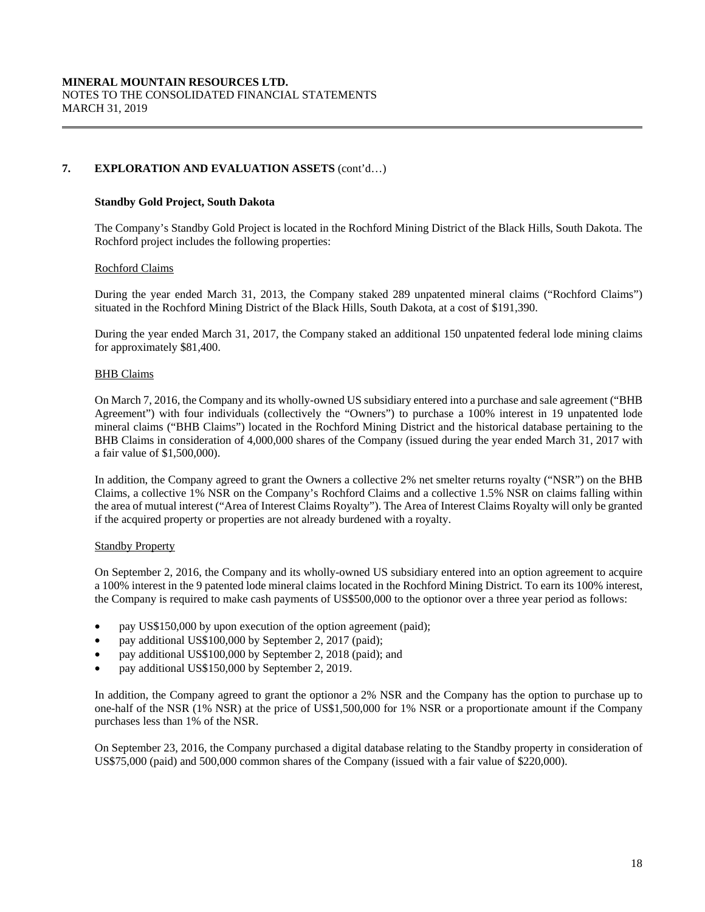# **7. EXPLORATION AND EVALUATION ASSETS** (cont'd…)

### **Standby Gold Project, South Dakota**

The Company's Standby Gold Project is located in the Rochford Mining District of the Black Hills, South Dakota. The Rochford project includes the following properties:

### Rochford Claims

During the year ended March 31, 2013, the Company staked 289 unpatented mineral claims ("Rochford Claims") situated in the Rochford Mining District of the Black Hills, South Dakota, at a cost of \$191,390.

During the year ended March 31, 2017, the Company staked an additional 150 unpatented federal lode mining claims for approximately \$81,400.

## BHB Claims

On March 7, 2016, the Company and its wholly-owned US subsidiary entered into a purchase and sale agreement ("BHB Agreement") with four individuals (collectively the "Owners") to purchase a 100% interest in 19 unpatented lode mineral claims ("BHB Claims") located in the Rochford Mining District and the historical database pertaining to the BHB Claims in consideration of 4,000,000 shares of the Company (issued during the year ended March 31, 2017 with a fair value of \$1,500,000).

In addition, the Company agreed to grant the Owners a collective 2% net smelter returns royalty ("NSR") on the BHB Claims, a collective 1% NSR on the Company's Rochford Claims and a collective 1.5% NSR on claims falling within the area of mutual interest ("Area of Interest Claims Royalty"). The Area of Interest Claims Royalty will only be granted if the acquired property or properties are not already burdened with a royalty.

### Standby Property

On September 2, 2016, the Company and its wholly-owned US subsidiary entered into an option agreement to acquire a 100% interest in the 9 patented lode mineral claims located in the Rochford Mining District. To earn its 100% interest, the Company is required to make cash payments of US\$500,000 to the optionor over a three year period as follows:

- pay US\$150,000 by upon execution of the option agreement (paid);
- pay additional US\$100,000 by September 2, 2017 (paid);
- pay additional US\$100,000 by September 2, 2018 (paid); and
- pay additional US\$150,000 by September 2, 2019.

In addition, the Company agreed to grant the optionor a 2% NSR and the Company has the option to purchase up to one-half of the NSR (1% NSR) at the price of US\$1,500,000 for 1% NSR or a proportionate amount if the Company purchases less than 1% of the NSR.

On September 23, 2016, the Company purchased a digital database relating to the Standby property in consideration of US\$75,000 (paid) and 500,000 common shares of the Company (issued with a fair value of \$220,000).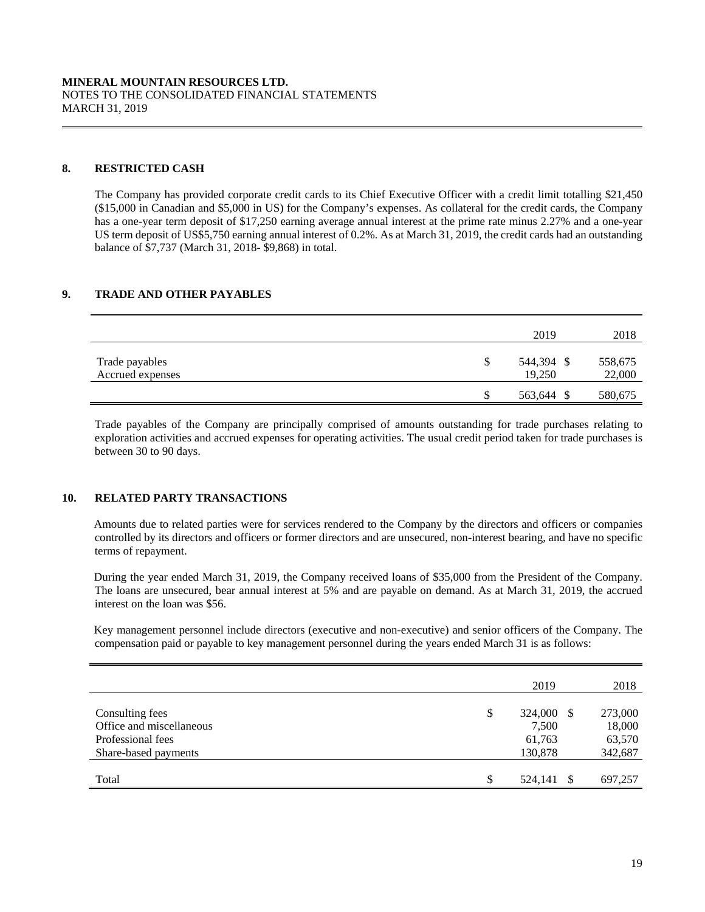# **8. RESTRICTED CASH**

The Company has provided corporate credit cards to its Chief Executive Officer with a credit limit totalling \$21,450 (\$15,000 in Canadian and \$5,000 in US) for the Company's expenses. As collateral for the credit cards, the Company has a one-year term deposit of \$17,250 earning average annual interest at the prime rate minus 2.27% and a one-year US term deposit of US\$5,750 earning annual interest of 0.2%. As at March 31, 2019, the credit cards had an outstanding balance of \$7,737 (March 31, 2018- \$9,868) in total.

## **9. TRADE AND OTHER PAYABLES**

|                                    |    | 2019                 | 2018              |
|------------------------------------|----|----------------------|-------------------|
| Trade payables<br>Accrued expenses | S  | 544,394 \$<br>19,250 | 558,675<br>22,000 |
|                                    | ۰D | 563,644<br>- S       | 580,675           |

Trade payables of the Company are principally comprised of amounts outstanding for trade purchases relating to exploration activities and accrued expenses for operating activities. The usual credit period taken for trade purchases is between 30 to 90 days.

# **10. RELATED PARTY TRANSACTIONS**

Amounts due to related parties were for services rendered to the Company by the directors and officers or companies controlled by its directors and officers or former directors and are unsecured, non-interest bearing, and have no specific terms of repayment.

During the year ended March 31, 2019, the Company received loans of \$35,000 from the President of the Company. The loans are unsecured, bear annual interest at 5% and are payable on demand. As at March 31, 2019, the accrued interest on the loan was \$56.

Key management personnel include directors (executive and non-executive) and senior officers of the Company. The compensation paid or payable to key management personnel during the years ended March 31 is as follows:

|                          | 2019             |    | 2018    |
|--------------------------|------------------|----|---------|
| Consulting fees          | \$<br>324,000 \$ |    | 273,000 |
| Office and miscellaneous | 7,500            |    | 18,000  |
| Professional fees        | 61,763           |    | 63,570  |
| Share-based payments     | 130,878          |    | 342,687 |
|                          |                  |    |         |
| Total                    | \$<br>524,141    | -S | 697,257 |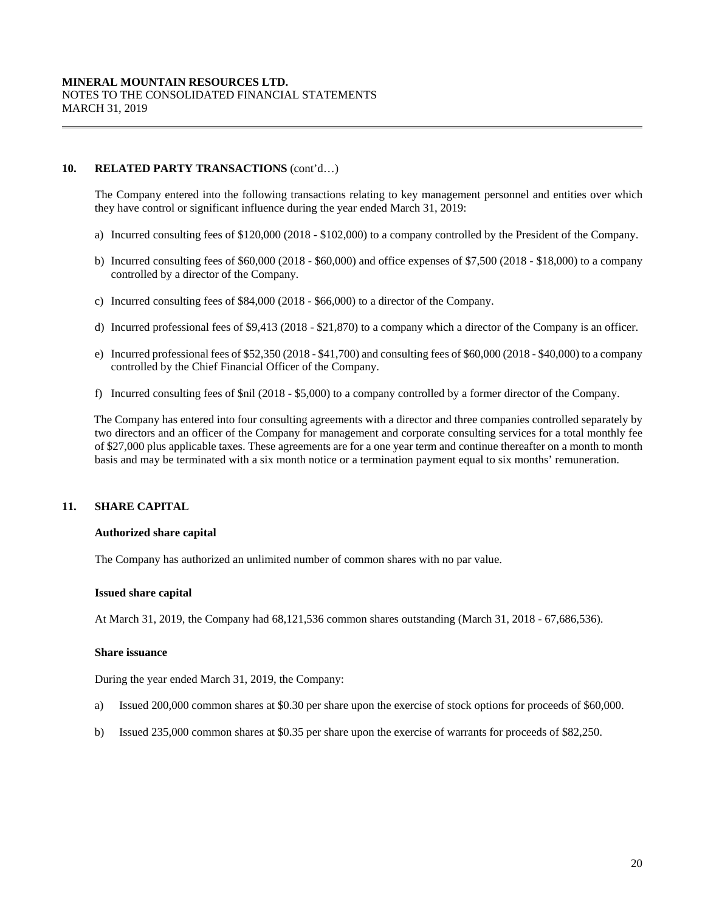### 10. RELATED PARTY TRANSACTIONS  $(cont'd...)$

The Company entered into the following transactions relating to key management personnel and entities over which they have control or significant influence during the year ended March 31, 2019:

- a) Incurred consulting fees of \$120,000 (2018 \$102,000) to a company controlled by the President of the Company.
- b) Incurred consulting fees of \$60,000 (2018 \$60,000) and office expenses of \$7,500 (2018 \$18,000) to a company controlled by a director of the Company.
- c) Incurred consulting fees of \$84,000 (2018 \$66,000) to a director of the Company.
- d) Incurred professional fees of \$9,413 (2018 \$21,870) to a company which a director of the Company is an officer.
- e) Incurred professional fees of \$52,350 (2018 \$41,700) and consulting fees of \$60,000 (2018 \$40,000) to a company controlled by the Chief Financial Officer of the Company.
- f) Incurred consulting fees of \$nil (2018 \$5,000) to a company controlled by a former director of the Company.

The Company has entered into four consulting agreements with a director and three companies controlled separately by two directors and an officer of the Company for management and corporate consulting services for a total monthly fee of \$27,000 plus applicable taxes. These agreements are for a one year term and continue thereafter on a month to month basis and may be terminated with a six month notice or a termination payment equal to six months' remuneration.

# **11. SHARE CAPITAL**

#### **Authorized share capital**

The Company has authorized an unlimited number of common shares with no par value.

### **Issued share capital**

At March 31, 2019, the Company had 68,121,536 common shares outstanding (March 31, 2018 - 67,686,536).

#### **Share issuance**

During the year ended March 31, 2019, the Company:

- a) Issued 200,000 common shares at \$0.30 per share upon the exercise of stock options for proceeds of \$60,000.
- b) Issued 235,000 common shares at \$0.35 per share upon the exercise of warrants for proceeds of \$82,250.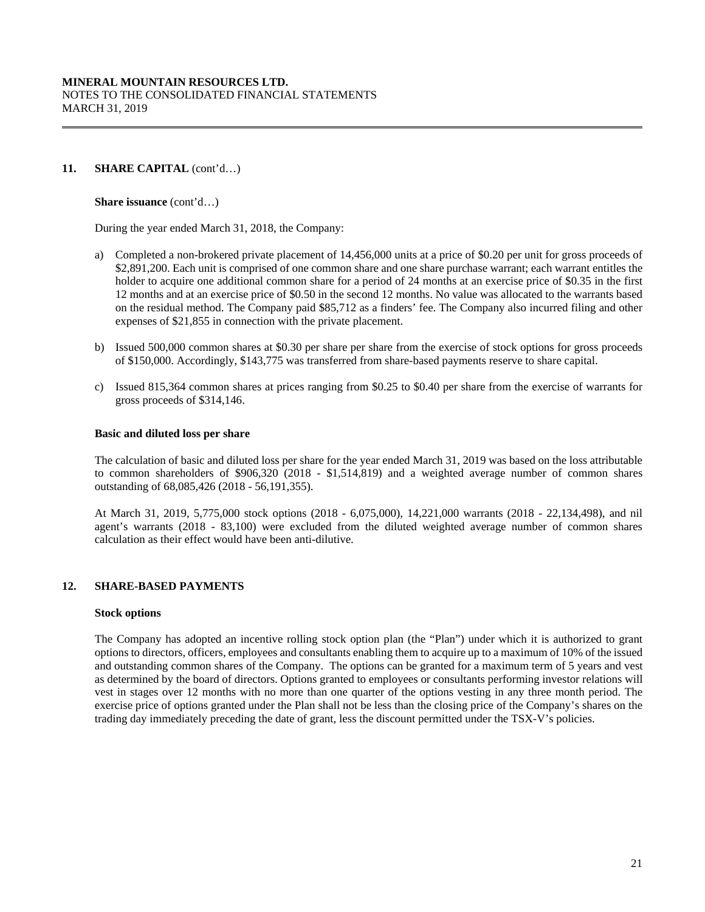# 11. **SHARE CAPITAL** (cont'd...)

**Share issuance** (cont'd…)

During the year ended March 31, 2018, the Company:

- a) Completed a non-brokered private placement of 14,456,000 units at a price of \$0.20 per unit for gross proceeds of \$2,891,200. Each unit is comprised of one common share and one share purchase warrant; each warrant entitles the holder to acquire one additional common share for a period of 24 months at an exercise price of \$0.35 in the first 12 months and at an exercise price of \$0.50 in the second 12 months. No value was allocated to the warrants based on the residual method. The Company paid \$85,712 as a finders' fee. The Company also incurred filing and other expenses of \$21,855 in connection with the private placement.
- b) Issued 500,000 common shares at \$0.30 per share per share from the exercise of stock options for gross proceeds of \$150,000. Accordingly, \$143,775 was transferred from share-based payments reserve to share capital.
- c) Issued 815,364 common shares at prices ranging from \$0.25 to \$0.40 per share from the exercise of warrants for gross proceeds of \$314,146.

#### **Basic and diluted loss per share**

The calculation of basic and diluted loss per share for the year ended March 31, 2019 was based on the loss attributable to common shareholders of \$906,320 (2018 - \$1,514,819) and a weighted average number of common shares outstanding of 68,085,426 (2018 - 56,191,355).

At March 31, 2019, 5,775,000 stock options (2018 - 6,075,000), 14,221,000 warrants (2018 - 22,134,498), and nil agent's warrants (2018 - 83,100) were excluded from the diluted weighted average number of common shares calculation as their effect would have been anti-dilutive.

### **12. SHARE-BASED PAYMENTS**

#### **Stock options**

The Company has adopted an incentive rolling stock option plan (the "Plan") under which it is authorized to grant options to directors, officers, employees and consultants enabling them to acquire up to a maximum of 10% of the issued and outstanding common shares of the Company. The options can be granted for a maximum term of 5 years and vest as determined by the board of directors. Options granted to employees or consultants performing investor relations will vest in stages over 12 months with no more than one quarter of the options vesting in any three month period. The exercise price of options granted under the Plan shall not be less than the closing price of the Company's shares on the trading day immediately preceding the date of grant, less the discount permitted under the TSX-V's policies.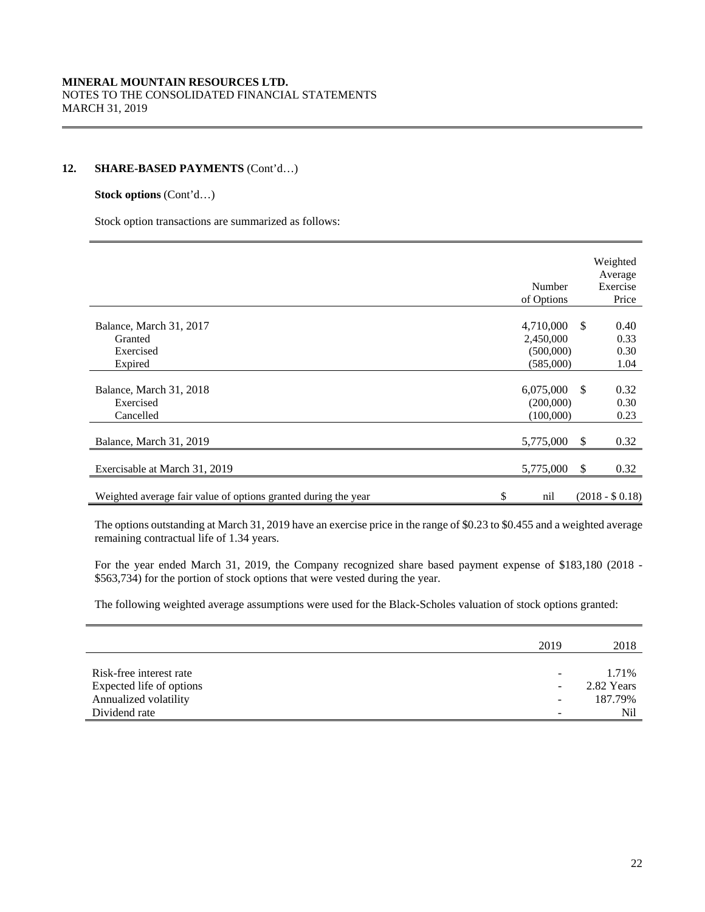# **12. SHARE-BASED PAYMENTS** (Cont'd…)

### **Stock options** (Cont'd…)

Stock option transactions are summarized as follows:

|                                                                | Number<br>of Options                             |               | Weighted<br>Average<br>Exercise<br>Price |
|----------------------------------------------------------------|--------------------------------------------------|---------------|------------------------------------------|
| Balance, March 31, 2017<br>Granted<br>Exercised<br>Expired     | 4,710,000<br>2,450,000<br>(500,000)<br>(585,000) | $\mathcal{S}$ | 0.40<br>0.33<br>0.30<br>1.04             |
| Balance, March 31, 2018<br>Exercised<br>Cancelled              | 6,075,000<br>(200,000)<br>(100,000)              | <sup>\$</sup> | 0.32<br>0.30<br>0.23                     |
| Balance, March 31, 2019                                        | 5,775,000                                        | $\mathcal{S}$ | 0.32                                     |
| Exercisable at March 31, 2019                                  | 5,775,000                                        | $\mathcal{S}$ | 0.32                                     |
| Weighted average fair value of options granted during the year | \$<br>nil                                        |               | $(2018 - $0.18)$                         |

 The options outstanding at March 31, 2019 have an exercise price in the range of \$0.23 to \$0.455 and a weighted average remaining contractual life of 1.34 years.

For the year ended March 31, 2019, the Company recognized share based payment expense of \$183,180 (2018 - \$563,734) for the portion of stock options that were vested during the year.

The following weighted average assumptions were used for the Black-Scholes valuation of stock options granted:

|                          | 2019                         | 2018       |
|--------------------------|------------------------------|------------|
|                          |                              |            |
| Risk-free interest rate  | $\qquad \qquad \blacksquare$ | 1.71%      |
| Expected life of options |                              | 2.82 Years |
| Annualized volatility    | ۰                            | 187.79%    |
| Dividend rate            |                              | Nil        |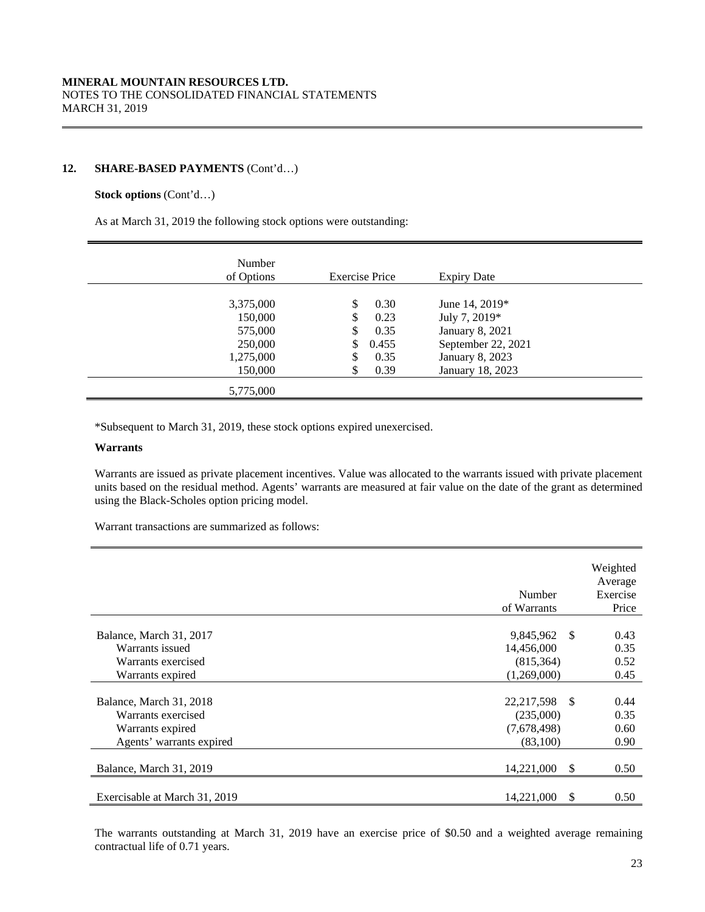# **12. SHARE-BASED PAYMENTS** (Cont'd…)

#### **Stock options** (Cont'd…)

As at March 31, 2019 the following stock options were outstanding:

| Number<br>of Options | <b>Exercise Price</b> | <b>Expiry Date</b> |
|----------------------|-----------------------|--------------------|
|                      |                       |                    |
| 3,375,000            | \$<br>0.30            | June 14, 2019*     |
| 150,000              | \$<br>0.23            | July 7, 2019*      |
| 575,000              | \$<br>0.35            | January 8, 2021    |
| 250,000              | \$<br>0.455           | September 22, 2021 |
| 1,275,000            | \$<br>0.35            | January 8, 2023    |
| 150,000              | \$<br>0.39            | January 18, 2023   |
| 5,775,000            |                       |                    |

\*Subsequent to March 31, 2019, these stock options expired unexercised.

## **Warrants**

Warrants are issued as private placement incentives. Value was allocated to the warrants issued with private placement units based on the residual method. Agents' warrants are measured at fair value on the date of the grant as determined using the Black-Scholes option pricing model.

Warrant transactions are summarized as follows:

|                                                                                               | Number<br>of Warrants                                        | Weighted<br>Average<br>Exercise<br>Price |
|-----------------------------------------------------------------------------------------------|--------------------------------------------------------------|------------------------------------------|
| Balance, March 31, 2017<br>Warrants issued<br>Warrants exercised<br>Warrants expired          | 9,845,962<br>- \$<br>14,456,000<br>(815, 364)<br>(1,269,000) | 0.43<br>0.35<br>0.52<br>0.45             |
| Balance, March 31, 2018<br>Warrants exercised<br>Warrants expired<br>Agents' warrants expired | 22,217,598 \$<br>(235,000)<br>(7,678,498)<br>(83,100)        | 0.44<br>0.35<br>0.60<br>0.90             |
| Balance, March 31, 2019                                                                       | 14,221,000<br><sup>\$</sup>                                  | 0.50                                     |
| Exercisable at March 31, 2019                                                                 | 14,221,000<br>S                                              | 0.50                                     |

The warrants outstanding at March 31, 2019 have an exercise price of \$0.50 and a weighted average remaining contractual life of 0.71 years.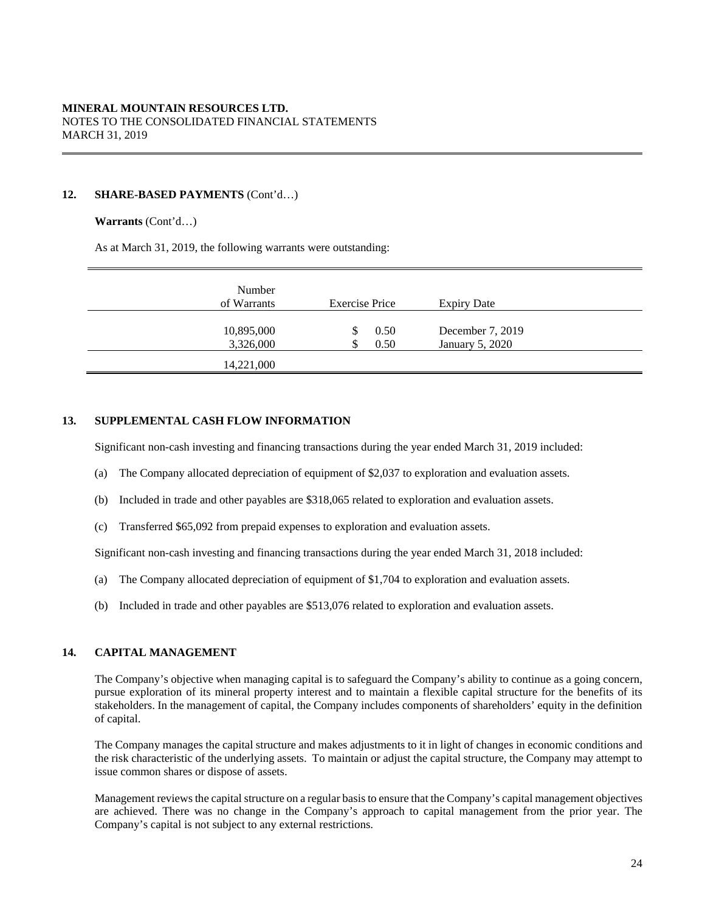### **12. SHARE-BASED PAYMENTS** (Cont'd…)

**Warrants** (Cont'd…)

As at March 31, 2019, the following warrants were outstanding:

| Number<br>of Warrants   | <b>Exercise Price</b> | <b>Expiry Date</b>                  |  |
|-------------------------|-----------------------|-------------------------------------|--|
| 10,895,000<br>3,326,000 | 0.50<br>0.50<br>J)    | December 7, 2019<br>January 5, 2020 |  |
| 14,221,000              |                       |                                     |  |

# **13. SUPPLEMENTAL CASH FLOW INFORMATION**

Significant non-cash investing and financing transactions during the year ended March 31, 2019 included:

- (a) The Company allocated depreciation of equipment of \$2,037 to exploration and evaluation assets.
- (b) Included in trade and other payables are \$318,065 related to exploration and evaluation assets.
- (c) Transferred \$65,092 from prepaid expenses to exploration and evaluation assets.

Significant non-cash investing and financing transactions during the year ended March 31, 2018 included:

- (a) The Company allocated depreciation of equipment of \$1,704 to exploration and evaluation assets.
- (b) Included in trade and other payables are \$513,076 related to exploration and evaluation assets.

# **14. CAPITAL MANAGEMENT**

The Company's objective when managing capital is to safeguard the Company's ability to continue as a going concern, pursue exploration of its mineral property interest and to maintain a flexible capital structure for the benefits of its stakeholders. In the management of capital, the Company includes components of shareholders' equity in the definition of capital.

The Company manages the capital structure and makes adjustments to it in light of changes in economic conditions and the risk characteristic of the underlying assets. To maintain or adjust the capital structure, the Company may attempt to issue common shares or dispose of assets.

Management reviews the capital structure on a regular basis to ensure that the Company's capital management objectives are achieved. There was no change in the Company's approach to capital management from the prior year. The Company's capital is not subject to any external restrictions.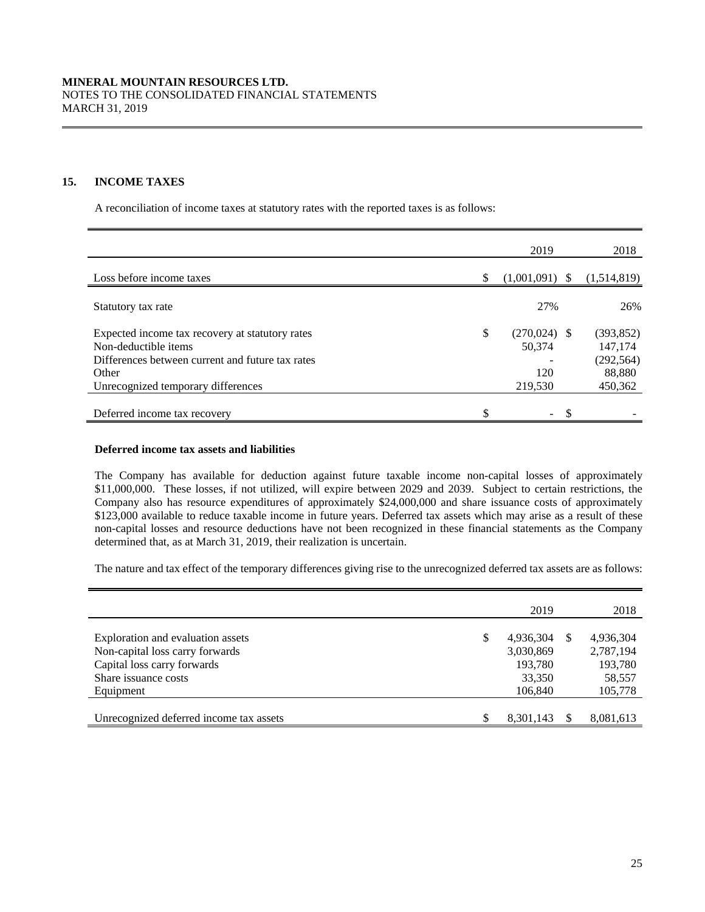# **15. INCOME TAXES**

A reconciliation of income taxes at statutory rates with the reported taxes is as follows:

|                                                                                                                             |    | 2019                     | 2018                                |
|-----------------------------------------------------------------------------------------------------------------------------|----|--------------------------|-------------------------------------|
| Loss before income taxes                                                                                                    | \$ | $(1,001,091)$ \$         | (1,514,819)                         |
| Statutory tax rate                                                                                                          |    | 27%                      | 26%                                 |
| Expected income tax recovery at statutory rates<br>Non-deductible items<br>Differences between current and future tax rates | \$ | $(270,024)$ \$<br>50.374 | (393, 852)<br>147.174<br>(292, 564) |
| Other<br>Unrecognized temporary differences                                                                                 |    | 120<br>219,530           | 88,880<br>450,362                   |
| Deferred income tax recovery                                                                                                | ¢  | $\sim$                   |                                     |

### **Deferred income tax assets and liabilities**

The Company has available for deduction against future taxable income non-capital losses of approximately \$11,000,000. These losses, if not utilized, will expire between 2029 and 2039. Subject to certain restrictions, the Company also has resource expenditures of approximately \$24,000,000 and share issuance costs of approximately \$123,000 available to reduce taxable income in future years. Deferred tax assets which may arise as a result of these non-capital losses and resource deductions have not been recognized in these financial statements as the Company determined that, as at March 31, 2019, their realization is uncertain.

The nature and tax effect of the temporary differences giving rise to the unrecognized deferred tax assets are as follows:

|                                         | 2019            |    | 2018      |
|-----------------------------------------|-----------------|----|-----------|
|                                         |                 |    |           |
| Exploration and evaluation assets       | \$<br>4,936,304 | -S | 4,936,304 |
| Non-capital loss carry forwards         | 3,030,869       |    | 2,787,194 |
| Capital loss carry forwards             | 193,780         |    | 193,780   |
| Share issuance costs                    | 33,350          |    | 58,557    |
| Equipment                               | 106,840         |    | 105,778   |
|                                         |                 |    |           |
| Unrecognized deferred income tax assets | 8,301,143       |    | 8,081,613 |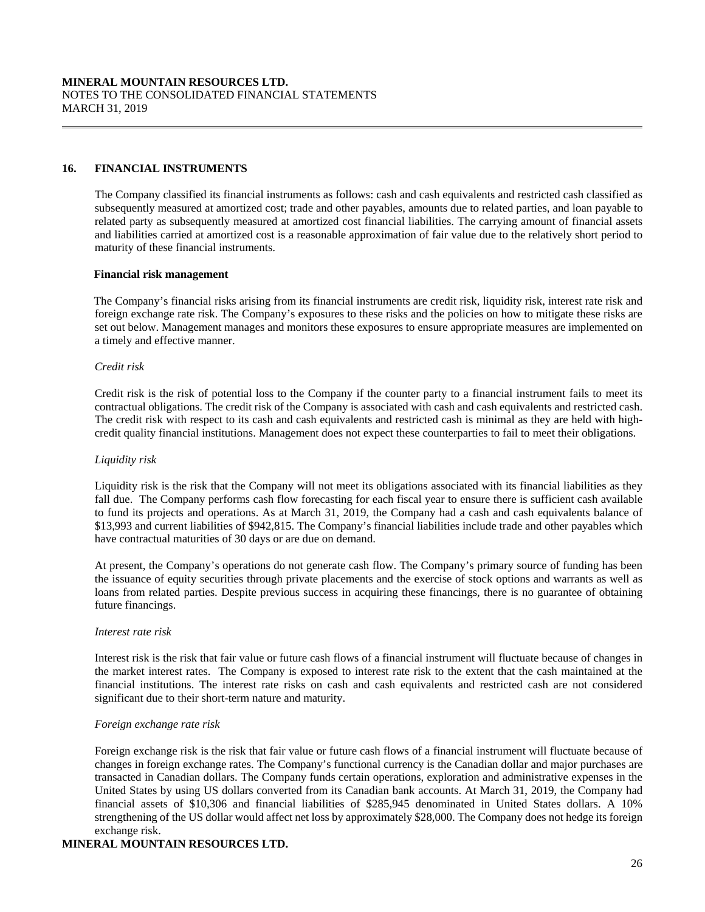# **16. FINANCIAL INSTRUMENTS**

The Company classified its financial instruments as follows: cash and cash equivalents and restricted cash classified as subsequently measured at amortized cost; trade and other payables, amounts due to related parties, and loan payable to related party as subsequently measured at amortized cost financial liabilities. The carrying amount of financial assets and liabilities carried at amortized cost is a reasonable approximation of fair value due to the relatively short period to maturity of these financial instruments.

#### **Financial risk management**

The Company's financial risks arising from its financial instruments are credit risk, liquidity risk, interest rate risk and foreign exchange rate risk. The Company's exposures to these risks and the policies on how to mitigate these risks are set out below. Management manages and monitors these exposures to ensure appropriate measures are implemented on a timely and effective manner.

### *Credit risk*

Credit risk is the risk of potential loss to the Company if the counter party to a financial instrument fails to meet its contractual obligations. The credit risk of the Company is associated with cash and cash equivalents and restricted cash. The credit risk with respect to its cash and cash equivalents and restricted cash is minimal as they are held with highcredit quality financial institutions. Management does not expect these counterparties to fail to meet their obligations.

#### *Liquidity risk*

Liquidity risk is the risk that the Company will not meet its obligations associated with its financial liabilities as they fall due. The Company performs cash flow forecasting for each fiscal year to ensure there is sufficient cash available to fund its projects and operations. As at March 31, 2019, the Company had a cash and cash equivalents balance of \$13,993 and current liabilities of \$942,815. The Company's financial liabilities include trade and other payables which have contractual maturities of 30 days or are due on demand.

At present, the Company's operations do not generate cash flow. The Company's primary source of funding has been the issuance of equity securities through private placements and the exercise of stock options and warrants as well as loans from related parties. Despite previous success in acquiring these financings, there is no guarantee of obtaining future financings.

#### *Interest rate risk*

Interest risk is the risk that fair value or future cash flows of a financial instrument will fluctuate because of changes in the market interest rates. The Company is exposed to interest rate risk to the extent that the cash maintained at the financial institutions. The interest rate risks on cash and cash equivalents and restricted cash are not considered significant due to their short-term nature and maturity.

#### *Foreign exchange rate risk*

Foreign exchange risk is the risk that fair value or future cash flows of a financial instrument will fluctuate because of changes in foreign exchange rates. The Company's functional currency is the Canadian dollar and major purchases are transacted in Canadian dollars. The Company funds certain operations, exploration and administrative expenses in the United States by using US dollars converted from its Canadian bank accounts. At March 31, 2019, the Company had financial assets of \$10,306 and financial liabilities of \$285,945 denominated in United States dollars. A 10% strengthening of the US dollar would affect net loss by approximately \$28,000. The Company does not hedge its foreign exchange risk.

### **MINERAL MOUNTAIN RESOURCES LTD.**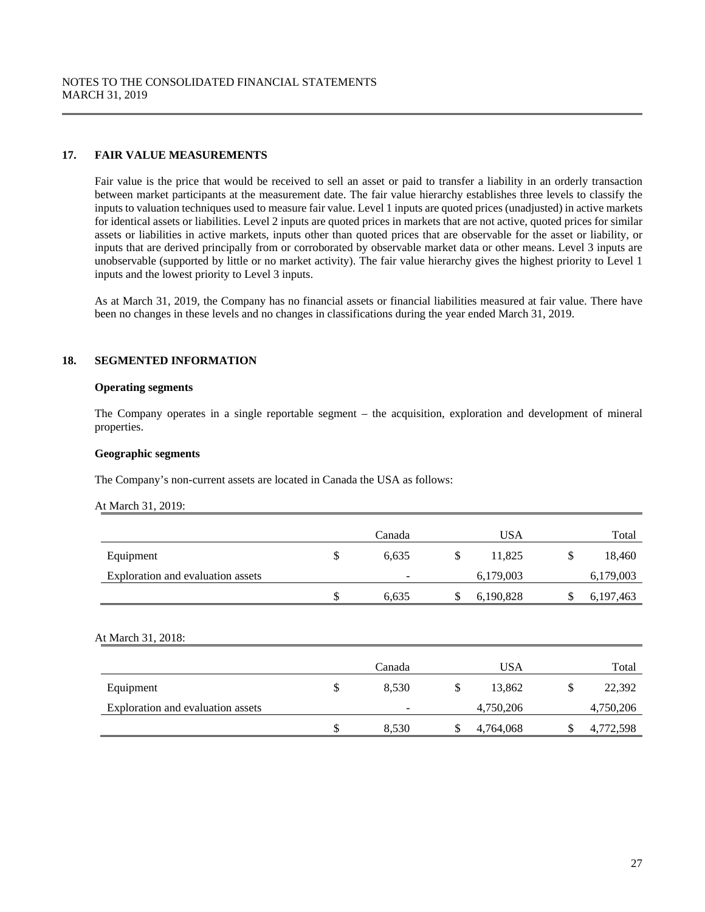# **17. FAIR VALUE MEASUREMENTS**

Fair value is the price that would be received to sell an asset or paid to transfer a liability in an orderly transaction between market participants at the measurement date. The fair value hierarchy establishes three levels to classify the inputs to valuation techniques used to measure fair value. Level 1 inputs are quoted prices (unadjusted) in active markets for identical assets or liabilities. Level 2 inputs are quoted prices in markets that are not active, quoted prices for similar assets or liabilities in active markets, inputs other than quoted prices that are observable for the asset or liability, or inputs that are derived principally from or corroborated by observable market data or other means. Level 3 inputs are unobservable (supported by little or no market activity). The fair value hierarchy gives the highest priority to Level 1 inputs and the lowest priority to Level 3 inputs.

As at March 31, 2019, the Company has no financial assets or financial liabilities measured at fair value. There have been no changes in these levels and no changes in classifications during the year ended March 31, 2019.

# **18. SEGMENTED INFORMATION**

# **Operating segments**

The Company operates in a single reportable segment – the acquisition, exploration and development of mineral properties.

# **Geographic segments**

The Company's non-current assets are located in Canada the USA as follows:

| At March 31, 2019: |  |  |
|--------------------|--|--|
|--------------------|--|--|

|                                                | Canada                                      | <b>USA</b>                | Total                     |
|------------------------------------------------|---------------------------------------------|---------------------------|---------------------------|
| Equipment                                      | \$<br>6,635                                 | \$<br>11,825              | \$<br>18,460              |
| Exploration and evaluation assets              | $\overline{\phantom{a}}$                    | 6,179,003                 | 6,179,003                 |
|                                                | \$<br>6,635                                 | \$<br>6,190,828           | \$<br>6,197,463           |
| At March 31, 2018:                             | Canada                                      | <b>USA</b>                |                           |
|                                                |                                             |                           | Total                     |
| Equipment<br>Exploration and evaluation assets | \$<br>8,530<br>$\qquad \qquad \blacksquare$ | \$<br>13,862<br>4,750,206 | \$<br>22,392<br>4,750,206 |
|                                                | \$<br>8,530                                 | \$<br>4,764,068           | \$<br>4,772,598           |